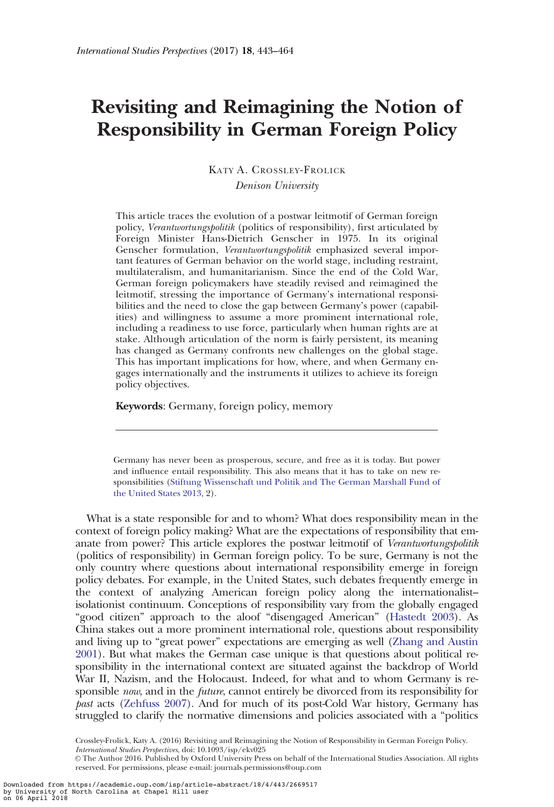# Revisiting and Reimagining the Notion of Responsibility in German Foreign Policy

KATY A. CROSSLEY-FROLICK Denison University

This article traces the evolution of a postwar leitmotif of German foreign policy, Verantwortungspolitik (politics of responsibility), first articulated by Foreign Minister Hans-Dietrich Genscher in 1975. In its original Genscher formulation, Verantwortungspolitik emphasized several important features of German behavior on the world stage, including restraint, multilateralism, and humanitarianism. Since the end of the Cold War, German foreign policymakers have steadily revised and reimagined the leitmotif, stressing the importance of Germany's international responsibilities and the need to close the gap between Germany's power (capabilities) and willingness to assume a more prominent international role, including a readiness to use force, particularly when human rights are at stake. Although articulation of the norm is fairly persistent, its meaning has changed as Germany confronts new challenges on the global stage. This has important implications for how, where, and when Germany engages internationally and the instruments it utilizes to achieve its foreign policy objectives.

Keywords: Germany, foreign policy, memory

Germany has never been as prosperous, secure, and free as it is today. But power and influence entail responsibility. This also means that it has to take on new responsibilities [\(Stiftung Wissenschaft und Politik and The German Marshall Fund of](#page-21-0) [the United States 2013,](#page-21-0) 2).

What is a state responsible for and to whom? What does responsibility mean in the context of foreign policy making? What are the expectations of responsibility that emanate from power? This article explores the postwar leitmotif of Verantwortungspolitik (politics of responsibility) in German foreign policy. To be sure, Germany is not the only country where questions about international responsibility emerge in foreign policy debates. For example, in the United States, such debates frequently emerge in the context of analyzing American foreign policy along the internationalist– isolationist continuum. Conceptions of responsibility vary from the globally engaged "good citizen" approach to the aloof "disengaged American" [\(Hastedt 2003\)](#page-20-0). As China stakes out a more prominent international role, questions about responsibility and living up to "great power" expectations are emerging as well ([Zhang and Austin](#page-21-0) [2001](#page-21-0)). But what makes the German case unique is that questions about political responsibility in the international context are situated against the backdrop of World War II, Nazism, and the Holocaust. Indeed, for what and to whom Germany is responsible *now*, and in the *future*, cannot entirely be divorced from its responsibility for past acts ([Zehfuss 2007\)](#page-21-0). And for much of its post-Cold War history, Germany has struggled to clarify the normative dimensions and policies associated with a "politics

Crossley-Frolick, Katy A. (2016) Revisiting and Reimagining the Notion of Responsibility in German Foreign Policy. International Studies Perspectives, doi: 10.1093/isp/ekv025

V<sup>C</sup> The Author 2016. Published by Oxford University Press on behalf of the International Studies Association. All rights reserved. For permissions, please e-mail: journals.permissions@oup.com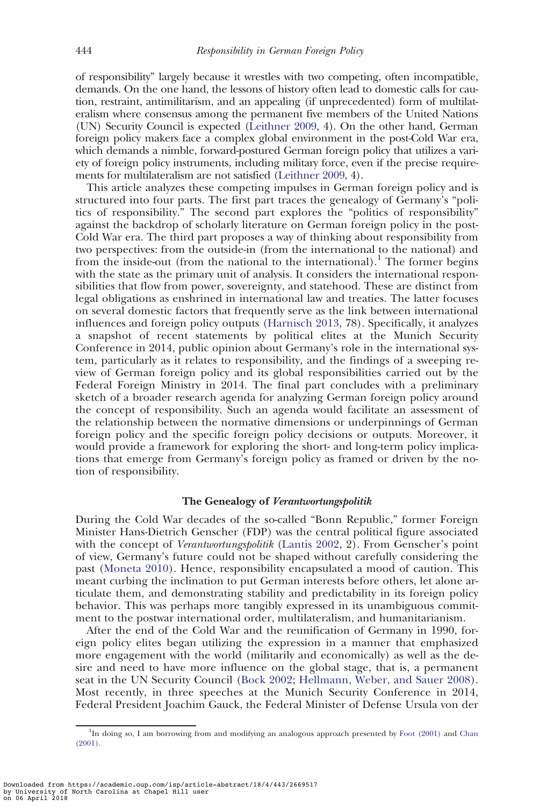of responsibility" largely because it wrestles with two competing, often incompatible, demands. On the one hand, the lessons of history often lead to domestic calls for caution, restraint, antimilitarism, and an appealing (if unprecedented) form of multilateralism where consensus among the permanent five members of the United Nations (UN) Security Council is expected ([Leithner 2009,](#page-20-0) 4). On the other hand, German foreign policy makers face a complex global environment in the post-Cold War era, which demands a nimble, forward-postured German foreign policy that utilizes a variety of foreign policy instruments, including military force, even if the precise requirements for multilateralism are not satisfied ([Leithner 2009,](#page-20-0) 4).

This article analyzes these competing impulses in German foreign policy and is structured into four parts. The first part traces the genealogy of Germany's "politics of responsibility." The second part explores the "politics of responsibility" against the backdrop of scholarly literature on German foreign policy in the post-Cold War era. The third part proposes a way of thinking about responsibility from two perspectives: from the outside-in (from the international to the national) and from the inside-out (from the national to the international).<sup>1</sup> The former begins with the state as the primary unit of analysis. It considers the international responsibilities that flow from power, sovereignty, and statehood. These are distinct from legal obligations as enshrined in international law and treaties. The latter focuses on several domestic factors that frequently serve as the link between international influences and foreign policy outputs ([Harnisch 2013,](#page-20-0) 78). Specifically, it analyzes a snapshot of recent statements by political elites at the Munich Security Conference in 2014, public opinion about Germany's role in the international system, particularly as it relates to responsibility, and the findings of a sweeping review of German foreign policy and its global responsibilities carried out by the Federal Foreign Ministry in 2014. The final part concludes with a preliminary sketch of a broader research agenda for analyzing German foreign policy around the concept of responsibility. Such an agenda would facilitate an assessment of the relationship between the normative dimensions or underpinnings of German foreign policy and the specific foreign policy decisions or outputs. Moreover, it would provide a framework for exploring the short- and long-term policy implications that emerge from Germany's foreign policy as framed or driven by the notion of responsibility.

# The Genealogy of Verantwortungspolitik

During the Cold War decades of the so-called "Bonn Republic," former Foreign Minister Hans-Dietrich Genscher (FDP) was the central political figure associated with the concept of *Verantwortungspolitik* ([Lantis 2002](#page-20-0), 2). From Genscher's point of view, Germany's future could not be shaped without carefully considering the past ([Moneta 2010\)](#page-20-0). Hence, responsibility encapsulated a mood of caution. This meant curbing the inclination to put German interests before others, let alone articulate them, and demonstrating stability and predictability in its foreign policy behavior. This was perhaps more tangibly expressed in its unambiguous commitment to the postwar international order, multilateralism, and humanitarianism.

After the end of the Cold War and the reunification of Germany in 1990, foreign policy elites began utilizing the expression in a manner that emphasized more engagement with the world (militarily and economically) as well as the desire and need to have more influence on the global stage, that is, a permanent seat in the UN Security Council [\(Bock 2002](#page-18-0); [Hellmann, Weber, and Sauer 2008](#page-20-0)). Most recently, in three speeches at the Munich Security Conference in 2014, Federal President Joachim Gauck, the Federal Minister of Defense Ursula von der

<sup>&</sup>lt;sup>1</sup>In doing so, I am borrowing from and modifying an analogous approach presented by [Foot \(2001\)](#page-19-0) and [Chan](#page-18-0) [\(2001\)](#page-18-0).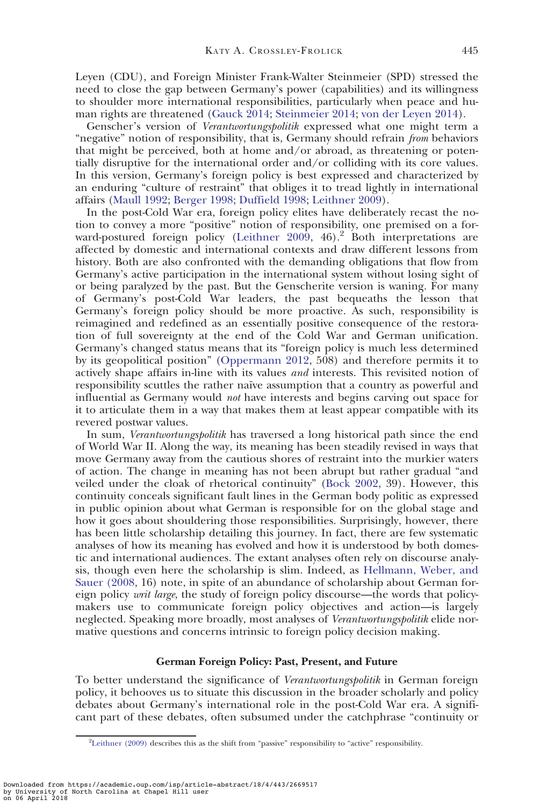Leyen (CDU), and Foreign Minister Frank-Walter Steinmeier (SPD) stressed the need to close the gap between Germany's power (capabilities) and its willingness to shoulder more international responsibilities, particularly when peace and human rights are threatened [\(Gauck 2014;](#page-19-0) [Steinmeier 2014;](#page-21-0) [von der Leyen 2014](#page-21-0)).

Genscher's version of Verantwortungspolitik expressed what one might term a "negative" notion of responsibility, that is, Germany should refrain *from* behaviors that might be perceived, both at home and/or abroad, as threatening or potentially disruptive for the international order and/or colliding with its core values. In this version, Germany's foreign policy is best expressed and characterized by an enduring "culture of restraint" that obliges it to tread lightly in international affairs ([Maull 1992;](#page-20-0) [Berger 1998](#page-18-0); [Duffield 1998](#page-19-0); [Leithner 2009\)](#page-20-0).

In the post-Cold War era, foreign policy elites have deliberately recast the notion to convey a more "positive" notion of responsibility, one premised on a for-ward-postured foreign policy [\(Leithner 2009](#page-20-0), 46).<sup>2</sup> Both interpretations are affected by domestic and international contexts and draw different lessons from history. Both are also confronted with the demanding obligations that flow from Germany's active participation in the international system without losing sight of or being paralyzed by the past. But the Genscherite version is waning. For many of Germany's post-Cold War leaders, the past bequeaths the lesson that Germany's foreign policy should be more proactive. As such, responsibility is reimagined and redefined as an essentially positive consequence of the restoration of full sovereignty at the end of the Cold War and German unification. Germany's changed status means that its "foreign policy is much less determined by its geopolitical position" [\(Oppermann 2012](#page-21-0), 508) and therefore permits it to actively shape affairs in-line with its values and interests. This revisited notion of responsibility scuttles the rather naïve assumption that a country as powerful and influential as Germany would not have interests and begins carving out space for it to articulate them in a way that makes them at least appear compatible with its revered postwar values.

In sum, Verantwortungspolitik has traversed a long historical path since the end of World War II. Along the way, its meaning has been steadily revised in ways that move Germany away from the cautious shores of restraint into the murkier waters of action. The change in meaning has not been abrupt but rather gradual "and veiled under the cloak of rhetorical continuity" [\(Bock 2002,](#page-18-0) 39). However, this continuity conceals significant fault lines in the German body politic as expressed in public opinion about what German is responsible for on the global stage and how it goes about shouldering those responsibilities. Surprisingly, however, there has been little scholarship detailing this journey. In fact, there are few systematic analyses of how its meaning has evolved and how it is understood by both domestic and international audiences. The extant analyses often rely on discourse analysis, though even here the scholarship is slim. Indeed, as [Hellmann, Weber, and](#page-20-0) [Sauer \(2008](#page-20-0), 16) note, in spite of an abundance of scholarship about German foreign policy *writ large*, the study of foreign policy discourse—the words that policymakers use to communicate foreign policy objectives and action—is largely neglected. Speaking more broadly, most analyses of Verantwortungspolitik elide normative questions and concerns intrinsic to foreign policy decision making.

# German Foreign Policy: Past, Present, and Future

To better understand the significance of Verantwortungspolitik in German foreign policy, it behooves us to situate this discussion in the broader scholarly and policy debates about Germany's international role in the post-Cold War era. A significant part of these debates, often subsumed under the catchphrase "continuity or

<sup>&</sup>lt;sup>2</sup>[Leithner \(2009\)](#page-20-0) describes this as the shift from "passive" responsibility to "active" responsibility.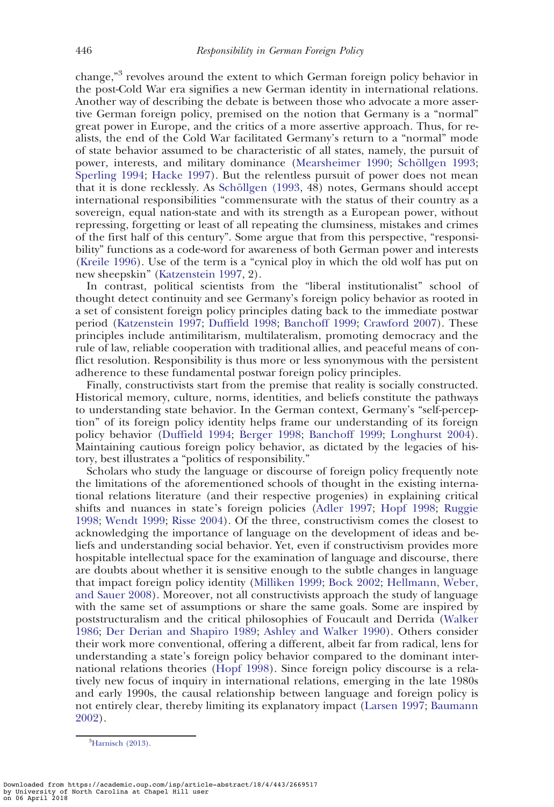change,"<sup>3</sup> revolves around the extent to which German foreign policy behavior in the post-Cold War era signifies a new German identity in international relations. Another way of describing the debate is between those who advocate a more assertive German foreign policy, premised on the notion that Germany is a "normal" great power in Europe, and the critics of a more assertive approach. Thus, for realists, the end of the Cold War facilitated Germany's return to a "normal" mode of state behavior assumed to be characteristic of all states, namely, the pursuit of power, interests, and military dominance [\(Mearsheimer 1990;](#page-20-0) Schöllgen 1993; [Sperling 1994;](#page-21-0) [Hacke 1997](#page-20-0)). But the relentless pursuit of power does not mean that it is done recklessly. As Schöllgen (1993, 48) notes, Germans should accept international responsibilities "commensurate with the status of their country as a sovereign, equal nation-state and with its strength as a European power, without repressing, forgetting or least of all repeating the clumsiness, mistakes and crimes of the first half of this century". Some argue that from this perspective, "responsibility" functions as a code-word for awareness of both German power and interests ([Kreile 1996\)](#page-20-0). Use of the term is a "cynical ploy in which the old wolf has put on new sheepskin" ([Katzenstein 1997](#page-20-0), 2).

In contrast, political scientists from the "liberal institutionalist" school of thought detect continuity and see Germany's foreign policy behavior as rooted in a set of consistent foreign policy principles dating back to the immediate postwar period ([Katzenstein 1997;](#page-20-0) [Duffield 1998](#page-19-0); [Banchoff 1999](#page-18-0); [Crawford 2007](#page-18-0)). These principles include antimilitarism, multilateralism, promoting democracy and the rule of law, reliable cooperation with traditional allies, and peaceful means of conflict resolution. Responsibility is thus more or less synonymous with the persistent adherence to these fundamental postwar foreign policy principles.

Finally, constructivists start from the premise that reality is socially constructed. Historical memory, culture, norms, identities, and beliefs constitute the pathways to understanding state behavior. In the German context, Germany's "self-perception" of its foreign policy identity helps frame our understanding of its foreign policy behavior ([Duffield 1994;](#page-19-0) [Berger 1998;](#page-18-0) [Banchoff 1999;](#page-18-0) [Longhurst 2004](#page-20-0)). Maintaining cautious foreign policy behavior, as dictated by the legacies of history, best illustrates a "politics of responsibility."

Scholars who study the language or discourse of foreign policy frequently note the limitations of the aforementioned schools of thought in the existing international relations literature (and their respective progenies) in explaining critical shifts and nuances in state's foreign policies ([Adler 1997;](#page-18-0) [Hopf 1998](#page-20-0); [Ruggie](#page-21-0) [1998](#page-21-0); [Wendt 1999;](#page-21-0) [Risse 2004](#page-21-0)). Of the three, constructivism comes the closest to acknowledging the importance of language on the development of ideas and beliefs and understanding social behavior. Yet, even if constructivism provides more hospitable intellectual space for the examination of language and discourse, there are doubts about whether it is sensitive enough to the subtle changes in language that impact foreign policy identity ([Milliken 1999;](#page-20-0) [Bock 2002;](#page-18-0) [Hellmann, Weber,](#page-20-0) [and Sauer 2008\)](#page-20-0). Moreover, not all constructivists approach the study of language with the same set of assumptions or share the same goals. Some are inspired by poststructuralism and the critical philosophies of Foucault and Derrida ([Walker](#page-21-0) [1986](#page-21-0); [Der Derian and Shapiro 1989](#page-19-0); [Ashley and Walker 1990\)](#page-18-0). Others consider their work more conventional, offering a different, albeit far from radical, lens for understanding a state's foreign policy behavior compared to the dominant international relations theories ([Hopf 1998](#page-20-0)). Since foreign policy discourse is a relatively new focus of inquiry in international relations, emerging in the late 1980s and early 1990s, the causal relationship between language and foreign policy is not entirely clear, thereby limiting its explanatory impact ([Larsen 1997](#page-20-0); [Baumann](#page-18-0) [2002](#page-18-0)).

<sup>&</sup>lt;sup>3</sup>[Harnisch \(2013\)](#page-20-0).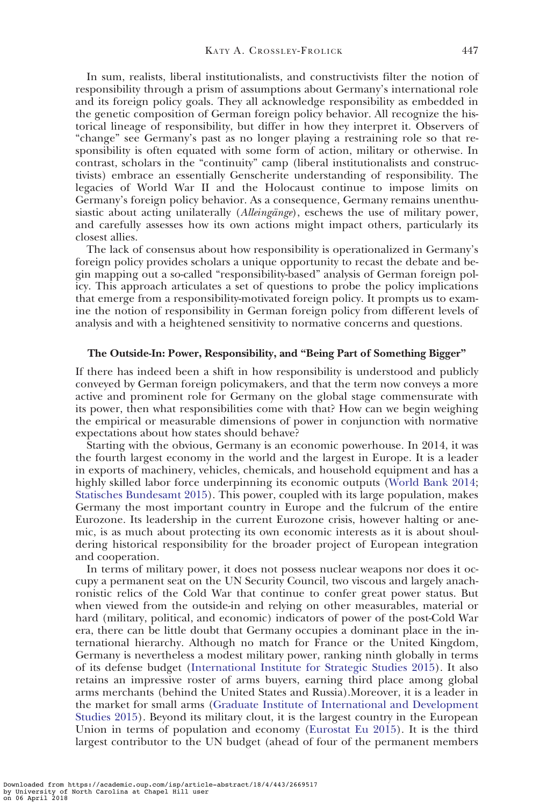In sum, realists, liberal institutionalists, and constructivists filter the notion of responsibility through a prism of assumptions about Germany's international role and its foreign policy goals. They all acknowledge responsibility as embedded in the genetic composition of German foreign policy behavior. All recognize the historical lineage of responsibility, but differ in how they interpret it. Observers of "change" see Germany's past as no longer playing a restraining role so that responsibility is often equated with some form of action, military or otherwise. In contrast, scholars in the "continuity" camp (liberal institutionalists and constructivists) embrace an essentially Genscherite understanding of responsibility. The legacies of World War II and the Holocaust continue to impose limits on Germany's foreign policy behavior. As a consequence, Germany remains unenthusiastic about acting unilaterally (*Alleingänge*), eschews the use of military power, and carefully assesses how its own actions might impact others, particularly its closest allies.

The lack of consensus about how responsibility is operationalized in Germany's foreign policy provides scholars a unique opportunity to recast the debate and begin mapping out a so-called "responsibility-based" analysis of German foreign policy. This approach articulates a set of questions to probe the policy implications that emerge from a responsibility-motivated foreign policy. It prompts us to examine the notion of responsibility in German foreign policy from different levels of analysis and with a heightened sensitivity to normative concerns and questions.

### The Outside-In: Power, Responsibility, and "Being Part of Something Bigger"

If there has indeed been a shift in how responsibility is understood and publicly conveyed by German foreign policymakers, and that the term now conveys a more active and prominent role for Germany on the global stage commensurate with its power, then what responsibilities come with that? How can we begin weighing the empirical or measurable dimensions of power in conjunction with normative expectations about how states should behave?

Starting with the obvious, Germany is an economic powerhouse. In 2014, it was the fourth largest economy in the world and the largest in Europe. It is a leader in exports of machinery, vehicles, chemicals, and household equipment and has a highly skilled labor force underpinning its economic outputs [\(World Bank 2014;](#page-21-0) [Statisches Bundesamt 2015](#page-21-0)). This power, coupled with its large population, makes Germany the most important country in Europe and the fulcrum of the entire Eurozone. Its leadership in the current Eurozone crisis, however halting or anemic, is as much about protecting its own economic interests as it is about shouldering historical responsibility for the broader project of European integration and cooperation.

In terms of military power, it does not possess nuclear weapons nor does it occupy a permanent seat on the UN Security Council, two viscous and largely anachronistic relics of the Cold War that continue to confer great power status. But when viewed from the outside-in and relying on other measurables, material or hard (military, political, and economic) indicators of power of the post-Cold War era, there can be little doubt that Germany occupies a dominant place in the international hierarchy. Although no match for France or the United Kingdom, Germany is nevertheless a modest military power, ranking ninth globally in terms of its defense budget ([International Institute for Strategic Studies 2015\)](#page-20-0). It also retains an impressive roster of arms buyers, earning third place among global arms merchants (behind the United States and Russia).Moreover, it is a leader in the market for small arms [\(Graduate Institute of International and Development](#page-19-0) [Studies 2015](#page-19-0)). Beyond its military clout, it is the largest country in the European Union in terms of population and economy [\(Eurostat Eu 2015](#page-19-0)). It is the third largest contributor to the UN budget (ahead of four of the permanent members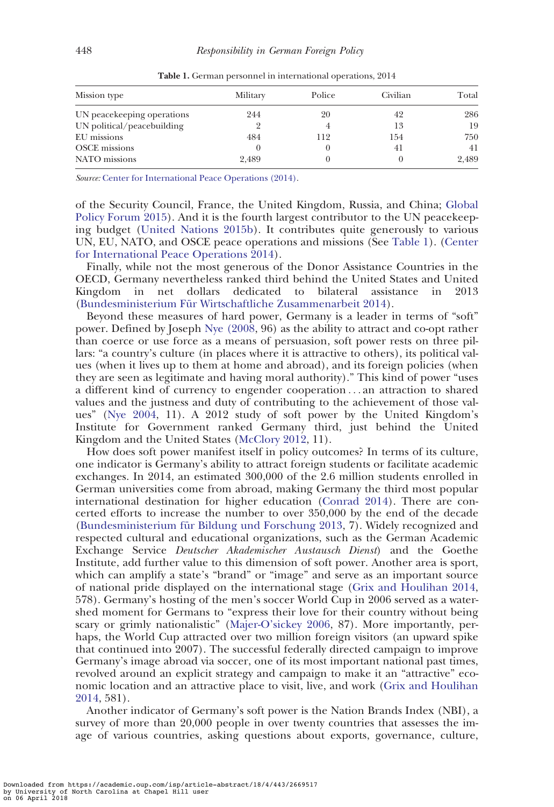| Mission type               | Military | Police | Civilian | Total |
|----------------------------|----------|--------|----------|-------|
| UN peacekeeping operations | 244      | 20     | 42       | 286   |
| UN political/peacebuilding |          |        | 13       | 19    |
| EU missions                | 484      | 112    | 154      | 750   |
| <b>OSCE</b> missions       |          |        | 41       | 41    |
| NATO missions              | 2,489    |        |          | 2.489 |

Table 1. German personnel in international operations, 2014

Source: [Center for International Peace Operations \(2014\).](#page-18-0)

of the Security Council, France, the United Kingdom, Russia, and China; [Global](#page-19-0) [Policy Forum 2015](#page-19-0)). And it is the fourth largest contributor to the UN peacekeeping budget ([United Nations 2015b](#page-21-0)). It contributes quite generously to various UN, EU, NATO, and OSCE peace operations and missions (See Table 1). [\(Center](#page-18-0) [for International Peace Operations 2014\)](#page-18-0).

Finally, while not the most generous of the Donor Assistance Countries in the OECD, Germany nevertheless ranked third behind the United States and United Kingdom in net dollars dedicated to bilateral assistance in 2013 (Bundesministerium Für Wirtschaftliche Zusammenarbeit 2014).

Beyond these measures of hard power, Germany is a leader in terms of "soft" power. Defined by Joseph [Nye \(2008,](#page-21-0) 96) as the ability to attract and co-opt rather than coerce or use force as a means of persuasion, soft power rests on three pillars: "a country's culture (in places where it is attractive to others), its political values (when it lives up to them at home and abroad), and its foreign policies (when they are seen as legitimate and having moral authority)." This kind of power "uses a different kind of currency to engender cooperation ... an attraction to shared values and the justness and duty of contributing to the achievement of those values" ([Nye 2004](#page-21-0), 11). A 2012 study of soft power by the United Kingdom's Institute for Government ranked Germany third, just behind the United Kingdom and the United States [\(McClory 2012,](#page-20-0) 11).

How does soft power manifest itself in policy outcomes? In terms of its culture, one indicator is Germany's ability to attract foreign students or facilitate academic exchanges. In 2014, an estimated 300,000 of the 2.6 million students enrolled in German universities come from abroad, making Germany the third most popular international destination for higher education ([Conrad 2014\)](#page-18-0). There are concerted efforts to increase the number to over 350,000 by the end of the decade (Bundesministerium für Bildung und Forschung 2013, 7). Widely recognized and respected cultural and educational organizations, such as the German Academic Exchange Service Deutscher Akademischer Austausch Dienst) and the Goethe Institute, add further value to this dimension of soft power. Another area is sport, which can amplify a state's "brand" or "image" and serve as an important source of national pride displayed on the international stage ([Grix and Houlihan 2014,](#page-19-0) 578). Germany's hosting of the men's soccer World Cup in 2006 served as a watershed moment for Germans to "express their love for their country without being scary or grimly nationalistic" [\(Majer-O'sickey 2006,](#page-20-0) 87). More importantly, perhaps, the World Cup attracted over two million foreign visitors (an upward spike that continued into 2007). The successful federally directed campaign to improve Germany's image abroad via soccer, one of its most important national past times, revolved around an explicit strategy and campaign to make it an "attractive" economic location and an attractive place to visit, live, and work ([Grix and Houlihan](#page-19-0) [2014](#page-19-0), 581).

Another indicator of Germany's soft power is the Nation Brands Index (NBI), a survey of more than 20,000 people in over twenty countries that assesses the image of various countries, asking questions about exports, governance, culture,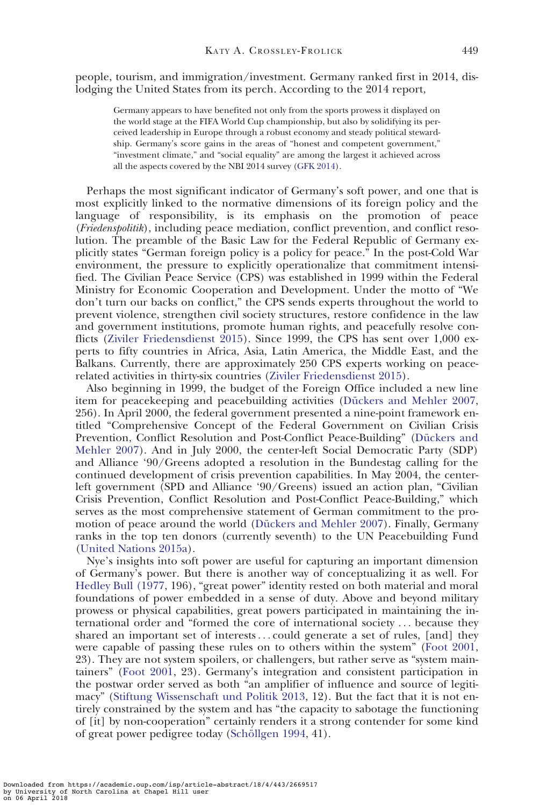people, tourism, and immigration/investment. Germany ranked first in 2014, dislodging the United States from its perch. According to the 2014 report,

Germany appears to have benefited not only from the sports prowess it displayed on the world stage at the FIFA World Cup championship, but also by solidifying its perceived leadership in Europe through a robust economy and steady political stewardship. Germany's score gains in the areas of "honest and competent government," "investment climate," and "social equality" are among the largest it achieved across all the aspects covered by the NBI 2014 survey [\(GFK 2014\)](#page-19-0).

Perhaps the most significant indicator of Germany's soft power, and one that is most explicitly linked to the normative dimensions of its foreign policy and the language of responsibility, is its emphasis on the promotion of peace (Friedenspolitik), including peace mediation, conflict prevention, and conflict resolution. The preamble of the Basic Law for the Federal Republic of Germany explicitly states "German foreign policy is a policy for peace." In the post-Cold War environment, the pressure to explicitly operationalize that commitment intensified. The Civilian Peace Service (CPS) was established in 1999 within the Federal Ministry for Economic Cooperation and Development. Under the motto of "We don't turn our backs on conflict," the CPS sends experts throughout the world to prevent violence, strengthen civil society structures, restore confidence in the law and government institutions, promote human rights, and peacefully resolve conflicts [\(Ziviler Friedensdienst 2015](#page-21-0)). Since 1999, the CPS has sent over 1,000 experts to fifty countries in Africa, Asia, Latin America, the Middle East, and the Balkans. Currently, there are approximately 250 CPS experts working on peacerelated activities in thirty-six countries ([Ziviler Friedensdienst 2015](#page-21-0)).

Also beginning in 1999, the budget of the Foreign Office included a new line item for peacekeeping and peacebuilding activities (Dückers and Mehler 2007, 256). In April 2000, the federal government presented a nine-point framework entitled "Comprehensive Concept of the Federal Government on Civilian Crisis Prevention, Conflict Resolution and Post-Conflict Peace-Building" (Dückers and [Mehler 2007](#page-19-0)). And in July 2000, the center-left Social Democratic Party (SDP) and Alliance '90/Greens adopted a resolution in the Bundestag calling for the continued development of crisis prevention capabilities. In May 2004, the centerleft government (SPD and Alliance '90/Greens) issued an action plan, "Civilian Crisis Prevention, Conflict Resolution and Post-Conflict Peace-Building," which serves as the most comprehensive statement of German commitment to the promotion of peace around the world (Dückers and Mehler 2007). Finally, Germany ranks in the top ten donors (currently seventh) to the UN Peacebuilding Fund ([United Nations 2015a](#page-21-0)).

Nye's insights into soft power are useful for capturing an important dimension of Germany's power. But there is another way of conceptualizing it as well. For [Hedley Bull \(1977,](#page-18-0) 196), "great power" identity rested on both material and moral foundations of power embedded in a sense of duty. Above and beyond military prowess or physical capabilities, great powers participated in maintaining the international order and "formed the core of international society ... because they shared an important set of interests... could generate a set of rules, [and] they were capable of passing these rules on to others within the system" ([Foot 2001,](#page-19-0) 23). They are not system spoilers, or challengers, but rather serve as "system maintainers" ([Foot 2001,](#page-19-0) 23). Germany's integration and consistent participation in the postwar order served as both "an amplifier of influence and source of legitimacy" [\(Stiftung Wissenschaft und Politik 2013,](#page-21-0) 12). But the fact that it is not entirely constrained by the system and has "the capacity to sabotage the functioning of [it] by non-cooperation" certainly renders it a strong contender for some kind of great power pedigree today (Schöllgen 1994, 41).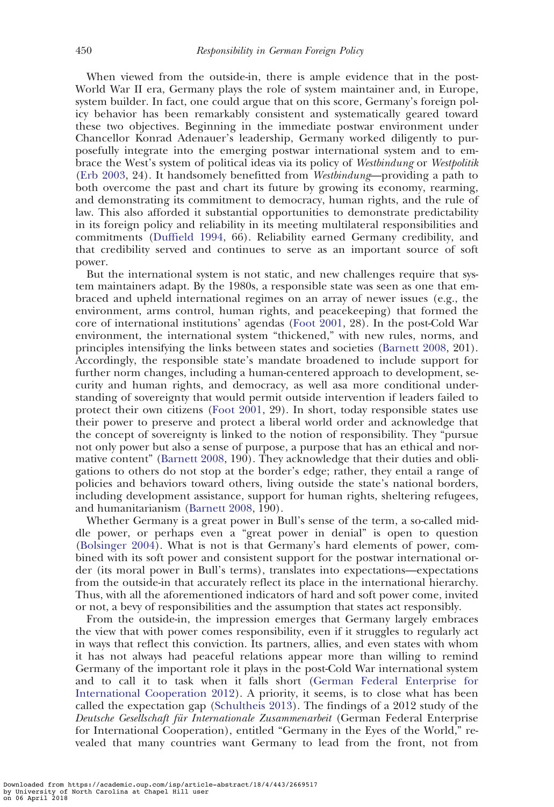When viewed from the outside-in, there is ample evidence that in the post-World War II era, Germany plays the role of system maintainer and, in Europe, system builder. In fact, one could argue that on this score, Germany's foreign policy behavior has been remarkably consistent and systematically geared toward these two objectives. Beginning in the immediate postwar environment under Chancellor Konrad Adenauer's leadership, Germany worked diligently to purposefully integrate into the emerging postwar international system and to embrace the West's system of political ideas via its policy of Westbindung or Westpolitik ([Erb 2003,](#page-19-0) 24). It handsomely benefitted from Westbindung—providing a path to both overcome the past and chart its future by growing its economy, rearming, and demonstrating its commitment to democracy, human rights, and the rule of law. This also afforded it substantial opportunities to demonstrate predictability in its foreign policy and reliability in its meeting multilateral responsibilities and commitments [\(Duffield 1994](#page-19-0), 66). Reliability earned Germany credibility, and that credibility served and continues to serve as an important source of soft power.

But the international system is not static, and new challenges require that system maintainers adapt. By the 1980s, a responsible state was seen as one that embraced and upheld international regimes on an array of newer issues (e.g., the environment, arms control, human rights, and peacekeeping) that formed the core of international institutions' agendas ([Foot 2001](#page-19-0), 28). In the post-Cold War environment, the international system "thickened," with new rules, norms, and principles intensifying the links between states and societies ([Barnett 2008,](#page-18-0) 201). Accordingly, the responsible state's mandate broadened to include support for further norm changes, including a human-centered approach to development, security and human rights, and democracy, as well asa more conditional understanding of sovereignty that would permit outside intervention if leaders failed to protect their own citizens ([Foot 2001](#page-19-0), 29). In short, today responsible states use their power to preserve and protect a liberal world order and acknowledge that the concept of sovereignty is linked to the notion of responsibility. They "pursue not only power but also a sense of purpose, a purpose that has an ethical and normative content" ([Barnett 2008](#page-18-0), 190). They acknowledge that their duties and obligations to others do not stop at the border's edge; rather, they entail a range of policies and behaviors toward others, living outside the state's national borders, including development assistance, support for human rights, sheltering refugees, and humanitarianism ([Barnett 2008](#page-18-0), 190).

Whether Germany is a great power in Bull's sense of the term, a so-called middle power, or perhaps even a "great power in denial" is open to question ([Bolsinger 2004](#page-18-0)). What is not is that Germany's hard elements of power, combined with its soft power and consistent support for the postwar international order (its moral power in Bull's terms), translates into expectations—expectations from the outside-in that accurately reflect its place in the international hierarchy. Thus, with all the aforementioned indicators of hard and soft power come, invited or not, a bevy of responsibilities and the assumption that states act responsibly.

From the outside-in, the impression emerges that Germany largely embraces the view that with power comes responsibility, even if it struggles to regularly act in ways that reflect this conviction. Its partners, allies, and even states with whom it has not always had peaceful relations appear more than willing to remind Germany of the important role it plays in the post-Cold War international system and to call it to task when it falls short [\(German Federal Enterprise for](#page-19-0) [International Cooperation 2012\)](#page-19-0). A priority, it seems, is to close what has been called the expectation gap ([Schultheis 2013](#page-21-0)). The findings of a 2012 study of the Deutsche Gesellschaft für Internationale Zusammenarbeit (German Federal Enterprise for International Cooperation), entitled "Germany in the Eyes of the World," revealed that many countries want Germany to lead from the front, not from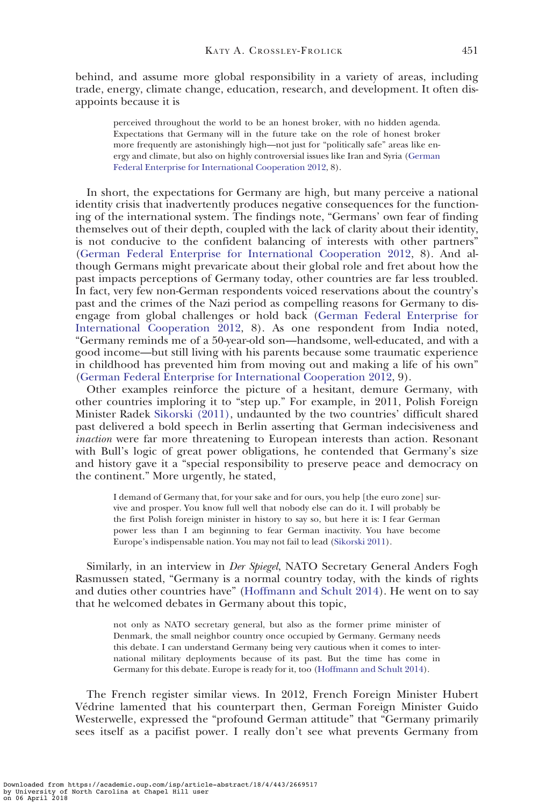behind, and assume more global responsibility in a variety of areas, including trade, energy, climate change, education, research, and development. It often disappoints because it is

perceived throughout the world to be an honest broker, with no hidden agenda. Expectations that Germany will in the future take on the role of honest broker more frequently are astonishingly high—not just for "politically safe" areas like energy and climate, but also on highly controversial issues like Iran and Syria ([German](#page-19-0) [Federal Enterprise for International Cooperation 2012](#page-19-0), 8).

In short, the expectations for Germany are high, but many perceive a national identity crisis that inadvertently produces negative consequences for the functioning of the international system. The findings note, "Germans' own fear of finding themselves out of their depth, coupled with the lack of clarity about their identity, is not conducive to the confident balancing of interests with other partners" ([German Federal Enterprise for International Cooperation 2012](#page-19-0), 8). And although Germans might prevaricate about their global role and fret about how the past impacts perceptions of Germany today, other countries are far less troubled. In fact, very few non-German respondents voiced reservations about the country's past and the crimes of the Nazi period as compelling reasons for Germany to disengage from global challenges or hold back [\(German Federal Enterprise for](#page-19-0) [International Cooperation 2012](#page-19-0), 8). As one respondent from India noted, "Germany reminds me of a 50-year-old son—handsome, well-educated, and with a good income—but still living with his parents because some traumatic experience in childhood has prevented him from moving out and making a life of his own" ([German Federal Enterprise for International Cooperation 2012](#page-19-0), 9).

Other examples reinforce the picture of a hesitant, demure Germany, with other countries imploring it to "step up." For example, in 2011, Polish Foreign Minister Radek [Sikorski \(2011\)](#page-21-0), undaunted by the two countries' difficult shared past delivered a bold speech in Berlin asserting that German indecisiveness and inaction were far more threatening to European interests than action. Resonant with Bull's logic of great power obligations, he contended that Germany's size and history gave it a "special responsibility to preserve peace and democracy on the continent." More urgently, he stated,

I demand of Germany that, for your sake and for ours, you help [the euro zone] survive and prosper. You know full well that nobody else can do it. I will probably be the first Polish foreign minister in history to say so, but here it is: I fear German power less than I am beginning to fear German inactivity. You have become Europe's indispensable nation. You may not fail to lead [\(Sikorski 2011\)](#page-21-0).

Similarly, in an interview in Der Spiegel, NATO Secretary General Anders Fogh Rasmussen stated, "Germany is a normal country today, with the kinds of rights and duties other countries have" [\(Hoffmann and Schult 2014](#page-20-0)). He went on to say that he welcomed debates in Germany about this topic,

not only as NATO secretary general, but also as the former prime minister of Denmark, the small neighbor country once occupied by Germany. Germany needs this debate. I can understand Germany being very cautious when it comes to international military deployments because of its past. But the time has come in Germany for this debate. Europe is ready for it, too ([Hoffmann and Schult 2014](#page-20-0)).

The French register similar views. In 2012, French Foreign Minister Hubert Védrine lamented that his counterpart then, German Foreign Minister Guido Westerwelle, expressed the "profound German attitude" that "Germany primarily sees itself as a pacifist power. I really don't see what prevents Germany from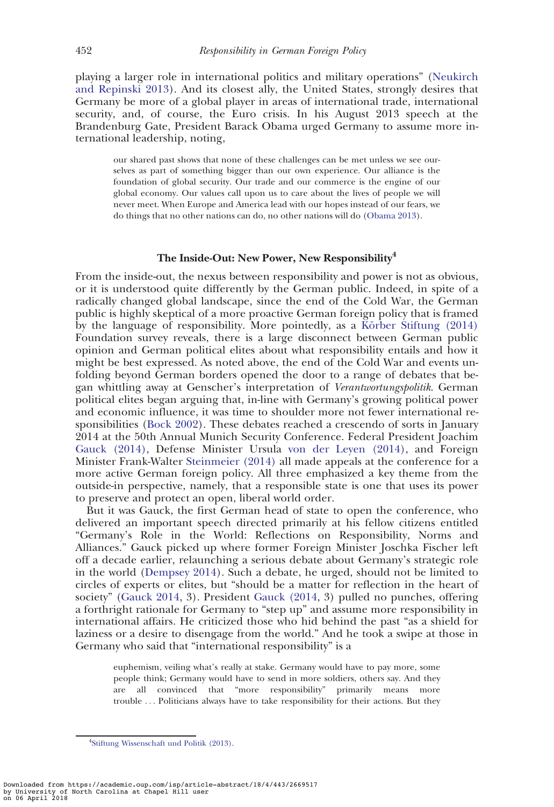playing a larger role in international politics and military operations" [\(Neukirch](#page-21-0) [and Repinski 2013\)](#page-21-0). And its closest ally, the United States, strongly desires that Germany be more of a global player in areas of international trade, international security, and, of course, the Euro crisis. In his August 2013 speech at the Brandenburg Gate, President Barack Obama urged Germany to assume more international leadership, noting,

our shared past shows that none of these challenges can be met unless we see ourselves as part of something bigger than our own experience. Our alliance is the foundation of global security. Our trade and our commerce is the engine of our global economy. Our values call upon us to care about the lives of people we will never meet. When Europe and America lead with our hopes instead of our fears, we do things that no other nations can do, no other nations will do ([Obama 2013\)](#page-21-0).

# The Inside-Out: New Power, New Responsibility<sup>4</sup>

From the inside-out, the nexus between responsibility and power is not as obvious, or it is understood quite differently by the German public. Indeed, in spite of a radically changed global landscape, since the end of the Cold War, the German public is highly skeptical of a more proactive German foreign policy that is framed by the language of responsibility. More pointedly, as a Körber Stiftung (2014) Foundation survey reveals, there is a large disconnect between German public opinion and German political elites about what responsibility entails and how it might be best expressed. As noted above, the end of the Cold War and events unfolding beyond German borders opened the door to a range of debates that began whittling away at Genscher's interpretation of Verantwortungspolitik. German political elites began arguing that, in-line with Germany's growing political power and economic influence, it was time to shoulder more not fewer international responsibilities [\(Bock 2002](#page-18-0)). These debates reached a crescendo of sorts in January 2014 at the 50th Annual Munich Security Conference. Federal President Joachim [Gauck \(2014\),](#page-19-0) Defense Minister Ursula [von der Leyen \(2014\)](#page-21-0), and Foreign Minister Frank-Walter [Steinmeier \(2014\)](#page-21-0) all made appeals at the conference for a more active German foreign policy. All three emphasized a key theme from the outside-in perspective, namely, that a responsible state is one that uses its power to preserve and protect an open, liberal world order.

But it was Gauck, the first German head of state to open the conference, who delivered an important speech directed primarily at his fellow citizens entitled "Germany's Role in the World: Reflections on Responsibility, Norms and Alliances." Gauck picked up where former Foreign Minister Joschka Fischer left off a decade earlier, relaunching a serious debate about Germany's strategic role in the world [\(Dempsey 2014](#page-19-0)). Such a debate, he urged, should not be limited to circles of experts or elites, but "should be a matter for reflection in the heart of society" [\(Gauck 2014](#page-19-0), 3). President [Gauck \(2014](#page-19-0), 3) pulled no punches, offering a forthright rationale for Germany to "step up" and assume more responsibility in international affairs. He criticized those who hid behind the past "as a shield for laziness or a desire to disengage from the world." And he took a swipe at those in Germany who said that "international responsibility" is a

euphemism, veiling what's really at stake. Germany would have to pay more, some people think; Germany would have to send in more soldiers, others say. And they are all convinced that "more responsibility" primarily means more trouble ... Politicians always have to take responsibility for their actions. But they

<sup>4</sup> [Stiftung Wissenschaft und Politik \(2013\)](#page-21-0).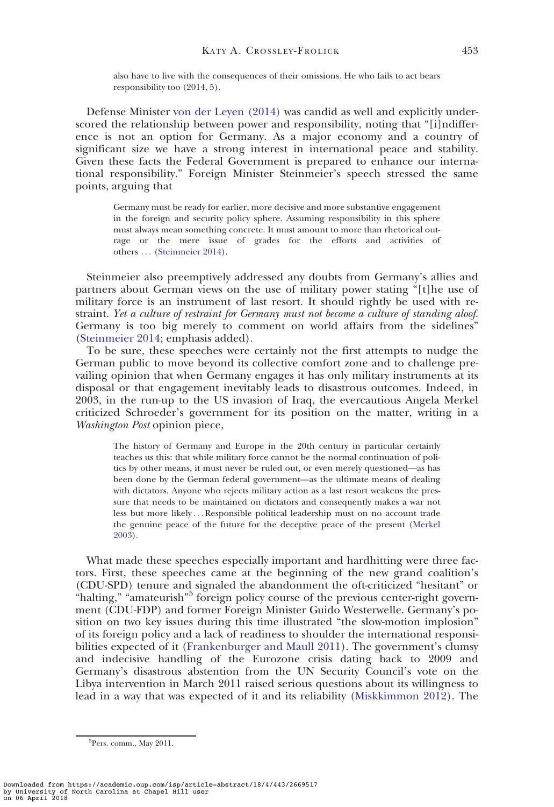also have to live with the consequences of their omissions. He who fails to act bears responsibility too (2014, 5).

Defense Minister [von der Leyen \(2014\)](#page-21-0) was candid as well and explicitly underscored the relationship between power and responsibility, noting that "[i]ndifference is not an option for Germany. As a major economy and a country of significant size we have a strong interest in international peace and stability. Given these facts the Federal Government is prepared to enhance our international responsibility." Foreign Minister Steinmeier's speech stressed the same points, arguing that

Germany must be ready for earlier, more decisive and more substantive engagement in the foreign and security policy sphere. Assuming responsibility in this sphere must always mean something concrete. It must amount to more than rhetorical outrage or the mere issue of grades for the efforts and activities of others ... [\(Steinmeier 2014\)](#page-21-0).

Steinmeier also preemptively addressed any doubts from Germany's allies and partners about German views on the use of military power stating "[t]he use of military force is an instrument of last resort. It should rightly be used with restraint. Yet a culture of restraint for Germany must not become a culture of standing aloof. Germany is too big merely to comment on world affairs from the sidelines" ([Steinmeier 2014](#page-21-0); emphasis added).

To be sure, these speeches were certainly not the first attempts to nudge the German public to move beyond its collective comfort zone and to challenge prevailing opinion that when Germany engages it has only military instruments at its disposal or that engagement inevitably leads to disastrous outcomes. Indeed, in 2003, in the run-up to the US invasion of Iraq, the evercautious Angela Merkel criticized Schroeder's government for its position on the matter, writing in a Washington Post opinion piece,

The history of Germany and Europe in the 20th century in particular certainly teaches us this: that while military force cannot be the normal continuation of politics by other means, it must never be ruled out, or even merely questioned—as has been done by the German federal government—as the ultimate means of dealing with dictators. Anyone who rejects military action as a last resort weakens the pressure that needs to be maintained on dictators and consequently makes a war not less but more likely ... Responsible political leadership must on no account trade the genuine peace of the future for the deceptive peace of the present ([Merkel](#page-20-0) [2003\)](#page-20-0).

What made these speeches especially important and hardhitting were three factors. First, these speeches came at the beginning of the new grand coalition's (CDU-SPD) tenure and signaled the abandonment the oft-criticized "hesitant" or "halting," "amateurish"<sup>5</sup> foreign policy course of the previous center-right government (CDU-FDP) and former Foreign Minister Guido Westerwelle. Germany's position on two key issues during this time illustrated "the slow-motion implosion" of its foreign policy and a lack of readiness to shoulder the international responsibilities expected of it ([Frankenburger and Maull 2011](#page-19-0)). The government's clumsy and indecisive handling of the Eurozone crisis dating back to 2009 and Germany's disastrous abstention from the UN Security Council's vote on the Libya intervention in March 2011 raised serious questions about its willingness to lead in a way that was expected of it and its reliability [\(Miskkimmon 2012](#page-20-0)). The

<sup>&</sup>lt;sup>5</sup>Pers. comm., May 2011.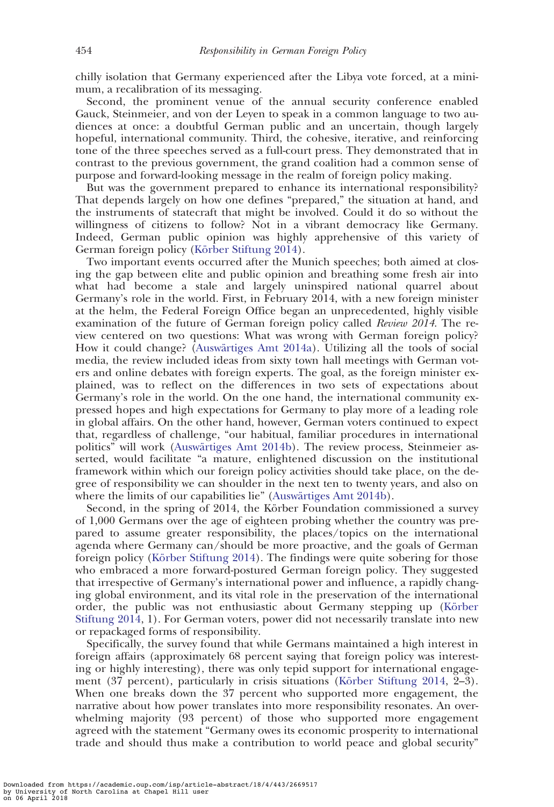chilly isolation that Germany experienced after the Libya vote forced, at a minimum, a recalibration of its messaging.

Second, the prominent venue of the annual security conference enabled Gauck, Steinmeier, and von der Leyen to speak in a common language to two audiences at once: a doubtful German public and an uncertain, though largely hopeful, international community. Third, the cohesive, iterative, and reinforcing tone of the three speeches served as a full-court press. They demonstrated that in contrast to the previous government, the grand coalition had a common sense of purpose and forward-looking message in the realm of foreign policy making.

But was the government prepared to enhance its international responsibility? That depends largely on how one defines "prepared," the situation at hand, and the instruments of statecraft that might be involved. Could it do so without the willingness of citizens to follow? Not in a vibrant democracy like Germany. Indeed, German public opinion was highly apprehensive of this variety of German foreign policy (Körber Stiftung 2014).

Two important events occurred after the Munich speeches; both aimed at closing the gap between elite and public opinion and breathing some fresh air into what had become a stale and largely uninspired national quarrel about Germany's role in the world. First, in February 2014, with a new foreign minister at the helm, the Federal Foreign Office began an unprecedented, highly visible examination of the future of German foreign policy called *Review 2014*. The review centered on two questions: What was wrong with German foreign policy? How it could change? (Auswärtiges Amt 2014a). Utilizing all the tools of social media, the review included ideas from sixty town hall meetings with German voters and online debates with foreign experts. The goal, as the foreign minister explained, was to reflect on the differences in two sets of expectations about Germany's role in the world. On the one hand, the international community expressed hopes and high expectations for Germany to play more of a leading role in global affairs. On the other hand, however, German voters continued to expect that, regardless of challenge, "our habitual, familiar procedures in international politics" will work (Auswärtiges Amt 2014b). The review process, Steinmeier asserted, would facilitate "a mature, enlightened discussion on the institutional framework within which our foreign policy activities should take place, on the degree of responsibility we can shoulder in the next ten to twenty years, and also on where the limits of our capabilities lie" (Auswärtiges Amt 2014b).

Second, in the spring of 2014, the Körber Foundation commissioned a survey of 1,000 Germans over the age of eighteen probing whether the country was prepared to assume greater responsibility, the places/topics on the international agenda where Germany can/should be more proactive, and the goals of German foreign policy (Körber Stiftung 2014). The findings were quite sobering for those who embraced a more forward-postured German foreign policy. They suggested that irrespective of Germany's international power and influence, a rapidly changing global environment, and its vital role in the preservation of the international order, the public was not enthusiastic about Germany stepping up (Körber [Stiftung 2014,](#page-20-0) 1). For German voters, power did not necessarily translate into new or repackaged forms of responsibility.

Specifically, the survey found that while Germans maintained a high interest in foreign affairs (approximately 68 percent saying that foreign policy was interesting or highly interesting), there was only tepid support for international engagement  $(37 \text{ percent})$ , particularly in crisis situations (Körber Stiftung 2014, 2–3). When one breaks down the 37 percent who supported more engagement, the narrative about how power translates into more responsibility resonates. An overwhelming majority (93 percent) of those who supported more engagement agreed with the statement "Germany owes its economic prosperity to international trade and should thus make a contribution to world peace and global security"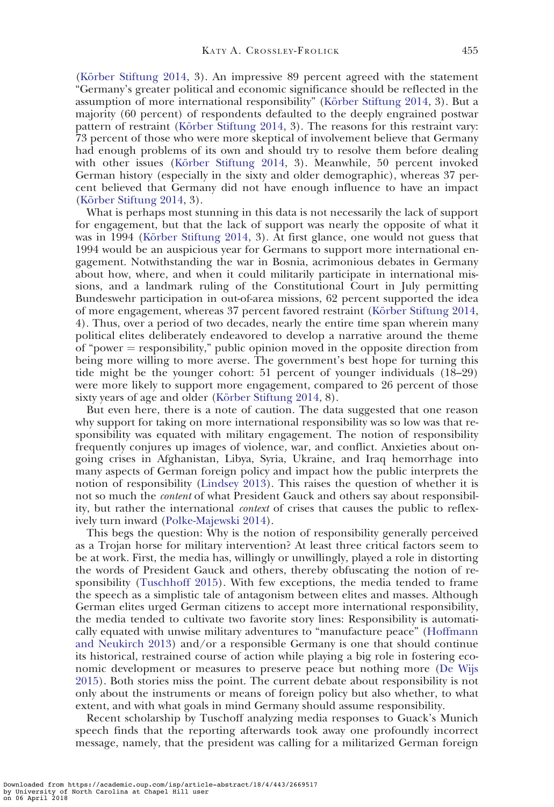(Körber Stiftung 2014, 3). An impressive 89 percent agreed with the statement "Germany's greater political and economic significance should be reflected in the assumption of more international responsibility" (Körber Stiftung 2014, 3). But a majority (60 percent) of respondents defaulted to the deeply engrained postwar pattern of restraint (Körber Stiftung 2014, 3). The reasons for this restraint vary: 73 percent of those who were more skeptical of involvement believe that Germany had enough problems of its own and should try to resolve them before dealing with other issues (Körber Stiftung  $2014, 3$ ). Meanwhile, 50 percent invoked German history (especially in the sixty and older demographic), whereas 37 percent believed that Germany did not have enough influence to have an impact (Körber Stiftung 2014, 3).

What is perhaps most stunning in this data is not necessarily the lack of support for engagement, but that the lack of support was nearly the opposite of what it was in 1994 (Körber Stiftung  $2014$ , 3). At first glance, one would not guess that 1994 would be an auspicious year for Germans to support more international engagement. Notwithstanding the war in Bosnia, acrimonious debates in Germany about how, where, and when it could militarily participate in international missions, and a landmark ruling of the Constitutional Court in July permitting Bundeswehr participation in out-of-area missions, 62 percent supported the idea of more engagement, whereas 37 percent favored restraint (Körber Stiftung 2014, 4). Thus, over a period of two decades, nearly the entire time span wherein many political elites deliberately endeavored to develop a narrative around the theme of "power  $=$  responsibility," public opinion moved in the opposite direction from being more willing to more averse. The government's best hope for turning this tide might be the younger cohort: 51 percent of younger individuals (18–29) were more likely to support more engagement, compared to 26 percent of those sixty years of age and older (Körber Stiftung 2014, 8).

But even here, there is a note of caution. The data suggested that one reason why support for taking on more international responsibility was so low was that responsibility was equated with military engagement. The notion of responsibility frequently conjures up images of violence, war, and conflict. Anxieties about ongoing crises in Afghanistan, Libya, Syria, Ukraine, and Iraq hemorrhage into many aspects of German foreign policy and impact how the public interprets the notion of responsibility [\(Lindsey 2013\)](#page-20-0). This raises the question of whether it is not so much the content of what President Gauck and others say about responsibility, but rather the international *context* of crises that causes the public to reflexively turn inward ([Polke-Majewski 2014\)](#page-21-0).

This begs the question: Why is the notion of responsibility generally perceived as a Trojan horse for military intervention? At least three critical factors seem to be at work. First, the media has, willingly or unwillingly, played a role in distorting the words of President Gauck and others, thereby obfuscating the notion of responsibility ([Tuschhoff 2015\)](#page-21-0). With few exceptions, the media tended to frame the speech as a simplistic tale of antagonism between elites and masses. Although German elites urged German citizens to accept more international responsibility, the media tended to cultivate two favorite story lines: Responsibility is automatically equated with unwise military adventures to "manufacture peace" [\(Hoffmann](#page-20-0) [and Neukirch 2013](#page-20-0)) and/or a responsible Germany is one that should continue its historical, restrained course of action while playing a big role in fostering economic development or measures to preserve peace but nothing more ([De Wijs](#page-18-0) [2015](#page-18-0)). Both stories miss the point. The current debate about responsibility is not only about the instruments or means of foreign policy but also whether, to what extent, and with what goals in mind Germany should assume responsibility.

Recent scholarship by Tuschoff analyzing media responses to Guack's Munich speech finds that the reporting afterwards took away one profoundly incorrect message, namely, that the president was calling for a militarized German foreign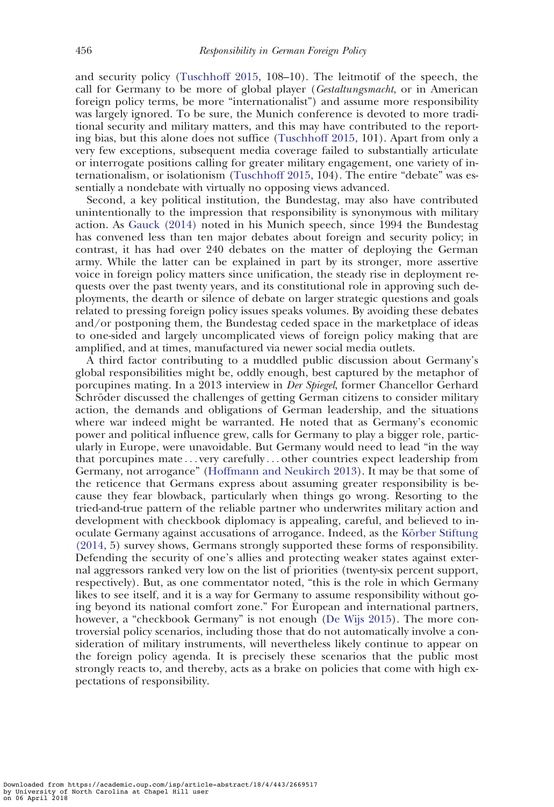and security policy ([Tuschhoff 2015,](#page-21-0) 108–10). The leitmotif of the speech, the call for Germany to be more of global player (Gestaltungsmacht, or in American foreign policy terms, be more "internationalist") and assume more responsibility was largely ignored. To be sure, the Munich conference is devoted to more traditional security and military matters, and this may have contributed to the reporting bias, but this alone does not suffice [\(Tuschhoff 2015](#page-21-0), 101). Apart from only a very few exceptions, subsequent media coverage failed to substantially articulate or interrogate positions calling for greater military engagement, one variety of internationalism, or isolationism ([Tuschhoff 2015](#page-21-0), 104). The entire "debate" was essentially a nondebate with virtually no opposing views advanced.

Second, a key political institution, the Bundestag, may also have contributed unintentionally to the impression that responsibility is synonymous with military action. As [Gauck \(2014\)](#page-19-0) noted in his Munich speech, since 1994 the Bundestag has convened less than ten major debates about foreign and security policy; in contrast, it has had over 240 debates on the matter of deploying the German army. While the latter can be explained in part by its stronger, more assertive voice in foreign policy matters since unification, the steady rise in deployment requests over the past twenty years, and its constitutional role in approving such deployments, the dearth or silence of debate on larger strategic questions and goals related to pressing foreign policy issues speaks volumes. By avoiding these debates and/or postponing them, the Bundestag ceded space in the marketplace of ideas to one-sided and largely uncomplicated views of foreign policy making that are amplified, and at times, manufactured via newer social media outlets.

A third factor contributing to a muddled public discussion about Germany's global responsibilities might be, oddly enough, best captured by the metaphor of porcupines mating. In a 2013 interview in Der Spiegel, former Chancellor Gerhard Schröder discussed the challenges of getting German citizens to consider military action, the demands and obligations of German leadership, and the situations where war indeed might be warranted. He noted that as Germany's economic power and political influence grew, calls for Germany to play a bigger role, particularly in Europe, were unavoidable. But Germany would need to lead "in the way that porcupines mate ... very carefully ... other countries expect leadership from Germany, not arrogance" ([Hoffmann and Neukirch 2013\)](#page-20-0). It may be that some of the reticence that Germans express about assuming greater responsibility is because they fear blowback, particularly when things go wrong. Resorting to the tried-and-true pattern of the reliable partner who underwrites military action and development with checkbook diplomacy is appealing, careful, and believed to inoculate Germany against accusations of arrogance. Indeed, as the Körber Stiftung [\(2014,](#page-20-0) 5) survey shows, Germans strongly supported these forms of responsibility. Defending the security of one's allies and protecting weaker states against external aggressors ranked very low on the list of priorities (twenty-six percent support, respectively). But, as one commentator noted, "this is the role in which Germany likes to see itself, and it is a way for Germany to assume responsibility without going beyond its national comfort zone." For European and international partners, however, a "checkbook Germany" is not enough [\(De Wijs 2015\)](#page-18-0). The more controversial policy scenarios, including those that do not automatically involve a consideration of military instruments, will nevertheless likely continue to appear on the foreign policy agenda. It is precisely these scenarios that the public most strongly reacts to, and thereby, acts as a brake on policies that come with high expectations of responsibility.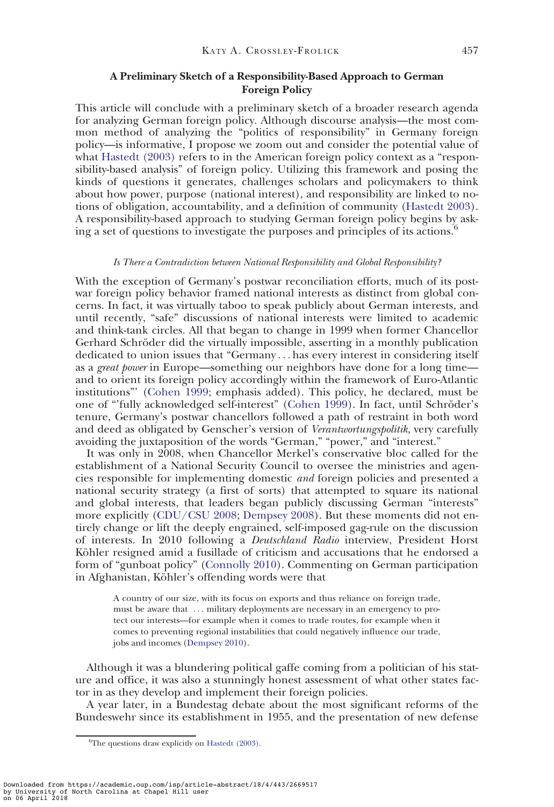# A Preliminary Sketch of a Responsibility-Based Approach to German Foreign Policy

This article will conclude with a preliminary sketch of a broader research agenda for analyzing German foreign policy. Although discourse analysis—the most common method of analyzing the "politics of responsibility" in Germany foreign policy—is informative, I propose we zoom out and consider the potential value of what [Hastedt \(2003\)](#page-20-0) refers to in the American foreign policy context as a "responsibility-based analysis" of foreign policy. Utilizing this framework and posing the kinds of questions it generates, challenges scholars and policymakers to think about how power, purpose (national interest), and responsibility are linked to notions of obligation, accountability, and a definition of community ([Hastedt 2003](#page-20-0)). A responsibility-based approach to studying German foreign policy begins by asking a set of questions to investigate the purposes and principles of its actions.<sup>6</sup>

#### Is There a Contradiction between National Responsibility and Global Responsibility?

With the exception of Germany's postwar reconciliation efforts, much of its postwar foreign policy behavior framed national interests as distinct from global concerns. In fact, it was virtually taboo to speak publicly about German interests, and until recently, "safe" discussions of national interests were limited to academic and think-tank circles. All that began to change in 1999 when former Chancellor Gerhard Schröder did the virtually impossible, asserting in a monthly publication dedicated to union issues that "Germany ... has every interest in considering itself as a great power in Europe—something our neighbors have done for a long time and to orient its foreign policy accordingly within the framework of Euro-Atlantic institutions"' ([Cohen 1999](#page-18-0); emphasis added). This policy, he declared, must be one of "fully acknowledged self-interest" ([Cohen 1999\)](#page-18-0). In fact, until Schröder's tenure, Germany's postwar chancellors followed a path of restraint in both word and deed as obligated by Genscher's version of Verantwortungspolitik, very carefully avoiding the juxtaposition of the words "German," "power," and "interest."

It was only in 2008, when Chancellor Merkel's conservative bloc called for the establishment of a National Security Council to oversee the ministries and agencies responsible for implementing domestic and foreign policies and presented a national security strategy (a first of sorts) that attempted to square its national and global interests, that leaders began publicly discussing German "interests" more explicitly [\(CDU/CSU 2008;](#page-18-0) [Dempsey 2008\)](#page-19-0). But these moments did not entirely change or lift the deeply engrained, self-imposed gag-rule on the discussion of interests. In 2010 following a Deutschland Radio interview, President Horst Köhler resigned amid a fusillade of criticism and accusations that he endorsed a form of "gunboat policy" [\(Connolly 2010](#page-18-0)). Commenting on German participation in Afghanistan, Köhler's offending words were that

A country of our size, with its focus on exports and thus reliance on foreign trade, must be aware that ... military deployments are necessary in an emergency to protect our interests—for example when it comes to trade routes, for example when it comes to preventing regional instabilities that could negatively influence our trade, jobs and incomes [\(Dempsey 2010](#page-19-0)).

Although it was a blundering political gaffe coming from a politician of his stature and office, it was also a stunningly honest assessment of what other states factor in as they develop and implement their foreign policies.

A year later, in a Bundestag debate about the most significant reforms of the Bundeswehr since its establishment in 1955, and the presentation of new defense

Downloaded from https://academic.oup.com/isp/article-abstract/18/4/443/2669517 by University of North Carolina at Chapel Hill user on 06 April 2018

<sup>&</sup>lt;sup>6</sup>The questions draw explicitly on [Hastedt \(2003\)](#page-20-0).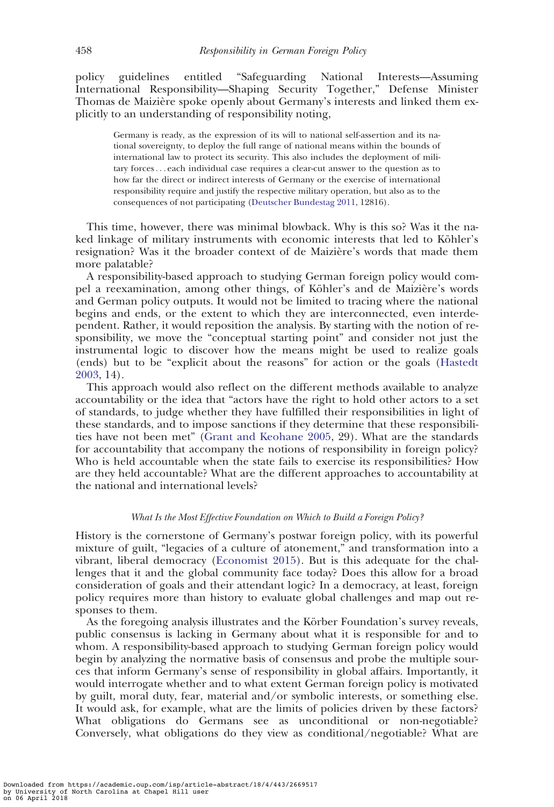policy guidelines entitled "Safeguarding National Interests—Assuming International Responsibility—Shaping Security Together," Defense Minister Thomas de Maizière spoke openly about Germany's interests and linked them explicitly to an understanding of responsibility noting,

Germany is ready, as the expression of its will to national self-assertion and its national sovereignty, to deploy the full range of national means within the bounds of international law to protect its security. This also includes the deployment of military forces... each individual case requires a clear-cut answer to the question as to how far the direct or indirect interests of Germany or the exercise of international responsibility require and justify the respective military operation, but also as to the consequences of not participating ([Deutscher Bundestag 2011,](#page-19-0) 12816).

This time, however, there was minimal blowback. Why is this so? Was it the naked linkage of military instruments with economic interests that led to Köhler's resignation? Was it the broader context of de Maizière's words that made them more palatable?

A responsibility-based approach to studying German foreign policy would compel a reexamination, among other things, of Köhler's and de Maizière's words and German policy outputs. It would not be limited to tracing where the national begins and ends, or the extent to which they are interconnected, even interdependent. Rather, it would reposition the analysis. By starting with the notion of responsibility, we move the "conceptual starting point" and consider not just the instrumental logic to discover how the means might be used to realize goals (ends) but to be "explicit about the reasons" for action or the goals [\(Hastedt](#page-20-0) [2003](#page-20-0), 14).

This approach would also reflect on the different methods available to analyze accountability or the idea that "actors have the right to hold other actors to a set of standards, to judge whether they have fulfilled their responsibilities in light of these standards, and to impose sanctions if they determine that these responsibilities have not been met" [\(Grant and Keohane 2005,](#page-19-0) 29). What are the standards for accountability that accompany the notions of responsibility in foreign policy? Who is held accountable when the state fails to exercise its responsibilities? How are they held accountable? What are the different approaches to accountability at the national and international levels?

# What Is the Most Effective Foundation on Which to Build a Foreign Policy?

History is the cornerstone of Germany's postwar foreign policy, with its powerful mixture of guilt, "legacies of a culture of atonement," and transformation into a vibrant, liberal democracy ([Economist 2015\)](#page-19-0). But is this adequate for the challenges that it and the global community face today? Does this allow for a broad consideration of goals and their attendant logic? In a democracy, at least, foreign policy requires more than history to evaluate global challenges and map out responses to them.

As the foregoing analysis illustrates and the Körber Foundation's survey reveals, public consensus is lacking in Germany about what it is responsible for and to whom. A responsibility-based approach to studying German foreign policy would begin by analyzing the normative basis of consensus and probe the multiple sources that inform Germany's sense of responsibility in global affairs. Importantly, it would interrogate whether and to what extent German foreign policy is motivated by guilt, moral duty, fear, material and/or symbolic interests, or something else. It would ask, for example, what are the limits of policies driven by these factors? What obligations do Germans see as unconditional or non-negotiable? Conversely, what obligations do they view as conditional/negotiable? What are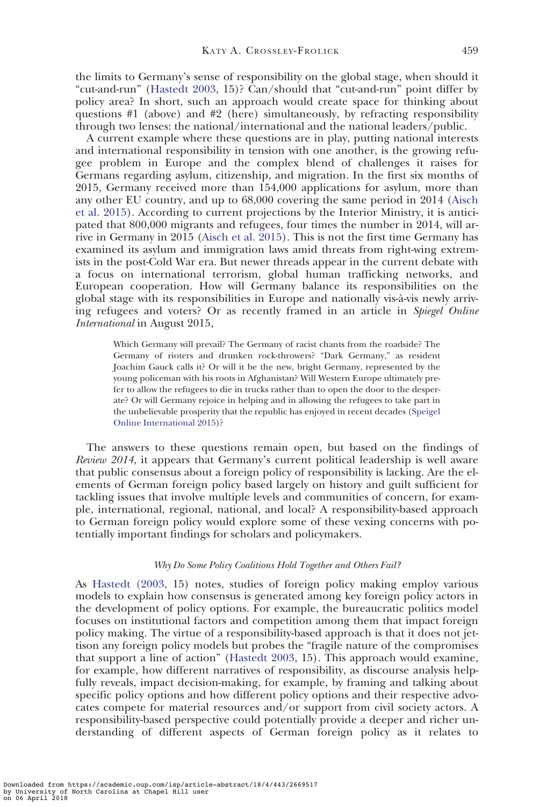the limits to Germany's sense of responsibility on the global stage, when should it "cut-and-run" [\(Hastedt 2003,](#page-20-0) 15)? Can/should that "cut-and-run" point differ by policy area? In short, such an approach would create space for thinking about questions #1 (above) and #2 (here) simultaneously, by refracting responsibility through two lenses: the national/international and the national leaders/public.

A current example where these questions are in play, putting national interests and international responsibility in tension with one another, is the growing refugee problem in Europe and the complex blend of challenges it raises for Germans regarding asylum, citizenship, and migration. In the first six months of 2015, Germany received more than 154,000 applications for asylum, more than any other EU country, and up to 68,000 covering the same period in 2014 ([Aisch](#page-18-0) [et al. 2015](#page-18-0)). According to current projections by the Interior Ministry, it is anticipated that 800,000 migrants and refugees, four times the number in 2014, will arrive in Germany in 2015 [\(Aisch et al. 2015\)](#page-18-0). This is not the first time Germany has examined its asylum and immigration laws amid threats from right-wing extremists in the post-Cold War era. But newer threads appear in the current debate with a focus on international terrorism, global human trafficking networks, and European cooperation. How will Germany balance its responsibilities on the global stage with its responsibilities in Europe and nationally vis-a`-vis newly arriving refugees and voters? Or as recently framed in an article in Spiegel Online International in August 2015,

Which Germany will prevail? The Germany of racist chants from the roadside? The Germany of rioters and drunken rock-throwers? "Dark Germany," as resident Joachim Gauck calls it? Or will it be the new, bright Germany, represented by the young policeman with his roots in Afghanistan? Will Western Europe ultimately prefer to allow the refugees to die in trucks rather than to open the door to the desperate? Or will Germany rejoice in helping and in allowing the refugees to take part in the unbelievable prosperity that the republic has enjoyed in recent decades ([Speigel](#page-21-0) [Online International 2015\)](#page-21-0)?

The answers to these questions remain open, but based on the findings of Review 2014, it appears that Germany's current political leadership is well aware that public consensus about a foreign policy of responsibility is lacking. Are the elements of German foreign policy based largely on history and guilt sufficient for tackling issues that involve multiple levels and communities of concern, for example, international, regional, national, and local? A responsibility-based approach to German foreign policy would explore some of these vexing concerns with potentially important findings for scholars and policymakers.

# Why Do Some Policy Coalitions Hold Together and Others Fail?

As [Hastedt \(2003,](#page-20-0) 15) notes, studies of foreign policy making employ various models to explain how consensus is generated among key foreign policy actors in the development of policy options. For example, the bureaucratic politics model focuses on institutional factors and competition among them that impact foreign policy making. The virtue of a responsibility-based approach is that it does not jettison any foreign policy models but probes the "fragile nature of the compromises that support a line of action" ([Hastedt 2003](#page-20-0), 15). This approach would examine, for example, how different narratives of responsibility, as discourse analysis helpfully reveals, impact decision-making, for example, by framing and talking about specific policy options and how different policy options and their respective advocates compete for material resources and/or support from civil society actors. A responsibility-based perspective could potentially provide a deeper and richer understanding of different aspects of German foreign policy as it relates to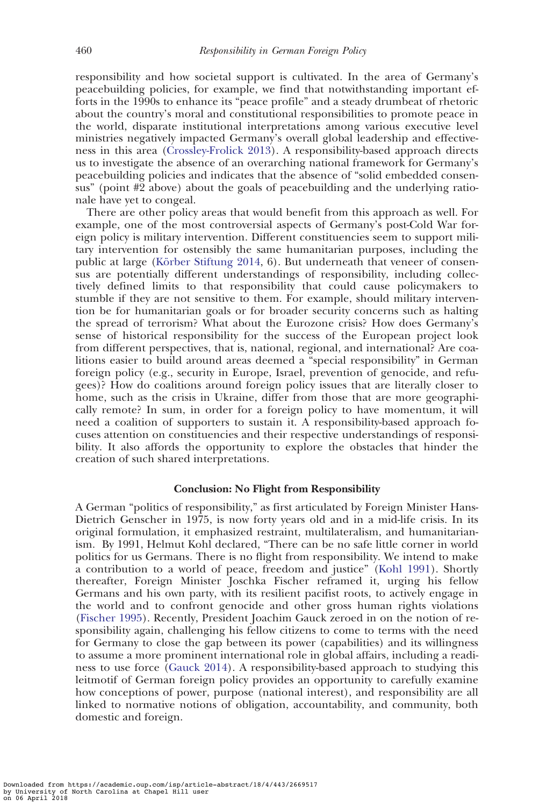responsibility and how societal support is cultivated. In the area of Germany's peacebuilding policies, for example, we find that notwithstanding important efforts in the 1990s to enhance its "peace profile" and a steady drumbeat of rhetoric about the country's moral and constitutional responsibilities to promote peace in the world, disparate institutional interpretations among various executive level ministries negatively impacted Germany's overall global leadership and effectiveness in this area ([Crossley-Frolick 2013](#page-18-0)). A responsibility-based approach directs us to investigate the absence of an overarching national framework for Germany's peacebuilding policies and indicates that the absence of "solid embedded consensus" (point #2 above) about the goals of peacebuilding and the underlying rationale have yet to congeal.

There are other policy areas that would benefit from this approach as well. For example, one of the most controversial aspects of Germany's post-Cold War foreign policy is military intervention. Different constituencies seem to support military intervention for ostensibly the same humanitarian purposes, including the public at large (Körber Stiftung 2014, 6). But underneath that veneer of consensus are potentially different understandings of responsibility, including collectively defined limits to that responsibility that could cause policymakers to stumble if they are not sensitive to them. For example, should military intervention be for humanitarian goals or for broader security concerns such as halting the spread of terrorism? What about the Eurozone crisis? How does Germany's sense of historical responsibility for the success of the European project look from different perspectives, that is, national, regional, and international? Are coalitions easier to build around areas deemed a "special responsibility" in German foreign policy (e.g., security in Europe, Israel, prevention of genocide, and refugees)? How do coalitions around foreign policy issues that are literally closer to home, such as the crisis in Ukraine, differ from those that are more geographically remote? In sum, in order for a foreign policy to have momentum, it will need a coalition of supporters to sustain it. A responsibility-based approach focuses attention on constituencies and their respective understandings of responsibility. It also affords the opportunity to explore the obstacles that hinder the creation of such shared interpretations.

# Conclusion: No Flight from Responsibility

A German "politics of responsibility," as first articulated by Foreign Minister Hans-Dietrich Genscher in 1975, is now forty years old and in a mid-life crisis. In its original formulation, it emphasized restraint, multilateralism, and humanitarianism. By 1991, Helmut Kohl declared, "There can be no safe little corner in world politics for us Germans. There is no flight from responsibility. We intend to make a contribution to a world of peace, freedom and justice" [\(Kohl 1991\)](#page-20-0). Shortly thereafter, Foreign Minister Joschka Fischer reframed it, urging his fellow Germans and his own party, with its resilient pacifist roots, to actively engage in the world and to confront genocide and other gross human rights violations ([Fischer 1995](#page-19-0)). Recently, President Joachim Gauck zeroed in on the notion of responsibility again, challenging his fellow citizens to come to terms with the need for Germany to close the gap between its power (capabilities) and its willingness to assume a more prominent international role in global affairs, including a readiness to use force ([Gauck 2014](#page-19-0)). A responsibility-based approach to studying this leitmotif of German foreign policy provides an opportunity to carefully examine how conceptions of power, purpose (national interest), and responsibility are all linked to normative notions of obligation, accountability, and community, both domestic and foreign.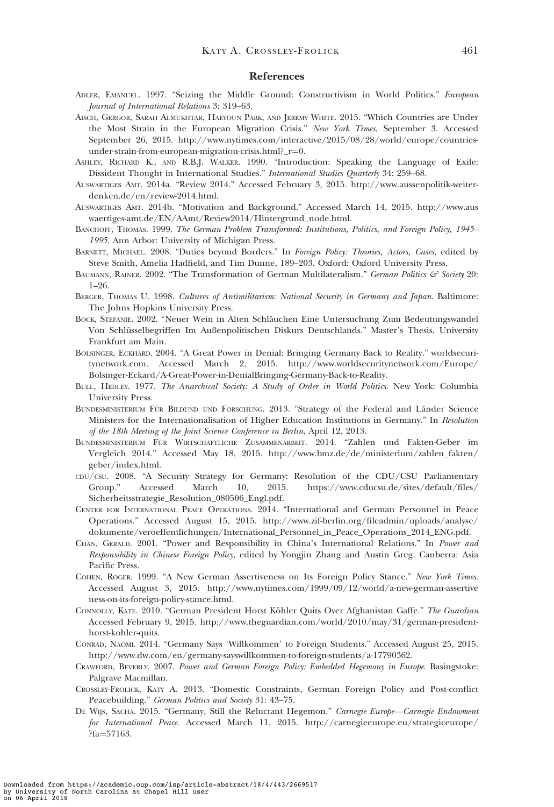# References

- <span id="page-18-0"></span>ADLER, EMANUEL. 1997. "Seizing the Middle Ground: Constructivism in World Politics." European Journal of International Relations 3: 319–63.
- AISCH, GERGOR, SARAH ALMUKHTAR, HAEYOUN PARK, AND JEREMY WHITE. 2015. "Which Countries are Under the Most Strain in the European Migration Crisis." New York Times, September 3. Accessed September 26, 2015. [http://www.nytimes.com/interactive/2015/08/28/world/europe/countries](http://www.nytimes.com/interactive/2015/08/28/world/europe/countries-under-strain-from-european-migration-crisis.html?_r=0)under-strain-from-european-migration-crisis.html? $r=0$  $r=0$ .
- ASHLEY, RICHARD K., AND R.B.J. WALKER. 1990. "Introduction: Speaking the Language of Exile: Dissident Thought in International Studies." International Studies Quarterly 34: 259–68.
- AUSWARTIGES AMT. 2014a. "Review 2014." Accessed February 3, 2015. [http://www.aussenpolitik-weiter](http://www.aussenpolitik-weiter-denken.de/en/review-2014.html)[denken.de/en/review-2014.html](http://www.aussenpolitik-weiter-denken.de/en/review-2014.html).
- AUSWARTIGES AMT. 2014b. "Motivation and Background." Accessed March 14, 2015. [http://www.aus](http://www.auswaertiges-amt.de/EN/AAmt/Review2014/Hintergrund_node.html) [waertiges-amt.de/EN/AAmt/Review2014/Hintergrund\\_node.html](http://www.auswaertiges-amt.de/EN/AAmt/Review2014/Hintergrund_node.html).
- BANCHOFF, THOMAS. 1999. The German Problem Transformed: Institutions, Politics, and Foreign Policy, 1945– 1995. Ann Arbor: University of Michigan Press.
- BARNETT, MICHAEL. 2008. "Duties beyond Borders." In Foreign Policy: Theories, Actors, Cases, edited by Steve Smith, Amelia Hadfield, and Tim Dunne, 189–203. Oxford: Oxford University Press.
- BAUMANN, RAINER. 2002. "The Transformation of German Multilateralism." German Politics & Society 20: 1–26.
- BERGER, THOMAS U. 1998. Cultures of Antimilitarism: National Security in Germany and Japan. Baltimore: The Johns Hopkins University Press.
- BOCK, STEFANIE. 2002. "Neuer Wein in Alten Schla¨uchen Eine Untersuchung Zum Bedeutungswandel Von Schlüsselbegriffen Im Außenpolitischen Diskurs Deutschlands." Master's Thesis, University Frankfurt am Main.
- BOLSINGER, ECKHARD. 2004. "A Great Power in Denial: Bringing Germany Back to Reality." worldsecuritynetwork.com. Accessed March 2, 2015. [http://www.worldsecuritynetwork.com/Europe/](http://www.worldsecuritynetwork.com/Europe/Bolsinger-Eckard/A-Great-Power-in-DenialBringing-Germany-Back-to-Reality) [Bolsinger-Eckard/A-Great-Power-in-DenialBringing-Germany-Back-to-Reality](http://www.worldsecuritynetwork.com/Europe/Bolsinger-Eckard/A-Great-Power-in-DenialBringing-Germany-Back-to-Reality).
- BULL, HEDLEY. 1977. The Anarchical Society: A Study of Order in World Politics. New York: Columbia University Press.
- BUNDESMINISTERIUM FÜR BILDUND UND FORSCHUNG. 2013. "Strategy of the Federal and Länder Science Ministers for the Internationalisation of Higher Education Institutions in Germany." In Resolution of the 18th Meeting of the Joint Science Conference in Berlin, April 12, 2013.
- BUNDESMINISTERIUM FÜR WIRTSCHAFTLICHE ZUSAMMENARBEIT. 2014. "Zahlen und Fakten-Geber im Vergleich 2014." Accessed May 18, 2015. [http://www.bmz.de/de/ministerium/zahlen\\_fakten/](http://www.bmz.de/de/ministerium/zahlen_fakten/geber/index.html) [geber/index.html](http://www.bmz.de/de/ministerium/zahlen_fakten/geber/index.html).
- CDU/CSU. 2008. "A Security Strategy for Germany: Resolution of the CDU/CSU Parliamentary Group." Accessed March 10, 2015. [https://www.cducsu.de/sites/default/files/](https://www.cducsu.de/sites/default/files/Sicherheitsstrategie_Resolution_080506_Engl.pdf) [Sicherheitsstrategie\\_Resolution\\_080506\\_Engl.pdf.](https://www.cducsu.de/sites/default/files/Sicherheitsstrategie_Resolution_080506_Engl.pdf)
- CENTER FOR INTERNATIONAL PEACE OPERATIONS. 2014. "International and German Personnel in Peace Operations." Accessed August 15, 2015. [http://www.zif-berlin.org/fileadmin/uploads/analyse/](http://www.zif-berlin.org/fileadmin/uploads/analyse/dokumente/veroeffentlichungen/International_Personnel_in_Peace_Operations_2014_ENG.pdf) [dokumente/veroeffentlichungen/International\\_Personnel\\_in\\_Peace\\_Operations\\_2014\\_ENG.pdf.](http://www.zif-berlin.org/fileadmin/uploads/analyse/dokumente/veroeffentlichungen/International_Personnel_in_Peace_Operations_2014_ENG.pdf)
- CHAN, GERALD. 2001. "Power and Responsibility in China's International Relations." In Power and Responsibility in Chinese Foreign Policy, edited by Yongjin Zhang and Austin Greg. Canberra: Asia Pacific Press.
- COHEN, ROGER. 1999. "A New German Assertiveness on Its Foreign Policy Stance." New York Times. Accessed August 3, 2015. [http://www.nytimes.com/1999/09/12/world/a-new-german-assertive](http://www.nytimes.com/1999/09/12/world/a-new-german-assertiveness-on-its-foreign-policy-stance.html) [ness-on-its-foreign-policy-stance.html.](http://www.nytimes.com/1999/09/12/world/a-new-german-assertiveness-on-its-foreign-policy-stance.html)
- CONNOLLY, KATE. 2010. "German President Horst Köhler Quits Over Afghanistan Gaffe." The Guardian Accessed February 9, 2015. [http://www.theguardian.com/world/2010/may/31/german-president](http://www.theguardian.com/world/2010/may/31/german-president-horst-kohler-quits)[horst-kohler-quits.](http://www.theguardian.com/world/2010/may/31/german-president-horst-kohler-quits)
- CONRAD, NAOMI. 2014. "Germany Says 'Willkommen' to Foreign Students." Accessed August 25, 2015. http://www.dw.com/en/germany-sayswillkommen-to-foreign-students/a-17790362.
- CRAWFORD, BEVERLY. 2007. Power and German Foreign Policy: Embedded Hegemony in Europe. Basingstoke: Palgrave Macmillan.
- CROSSLEY-FROLICK, KATY A. 2013. "Domestic Constraints, German Foreign Policy and Post-conflict Peacebuilding." German Politics and Society 31: 43–75.
- DE WIJS, SACHA. 2015. "Germany, Still the Reluctant Hegemon." Carnegie Europe—Carnegie Endowment for International Peace. Accessed March 11, 2015. [http://carnegieeurope.eu/strategiceurope/](http://carnegieeurope.eu/strategiceurope/?fa=57163) [?fa](http://carnegieeurope.eu/strategiceurope/?fa=57163)=[57163.](http://carnegieeurope.eu/strategiceurope/?fa=57163)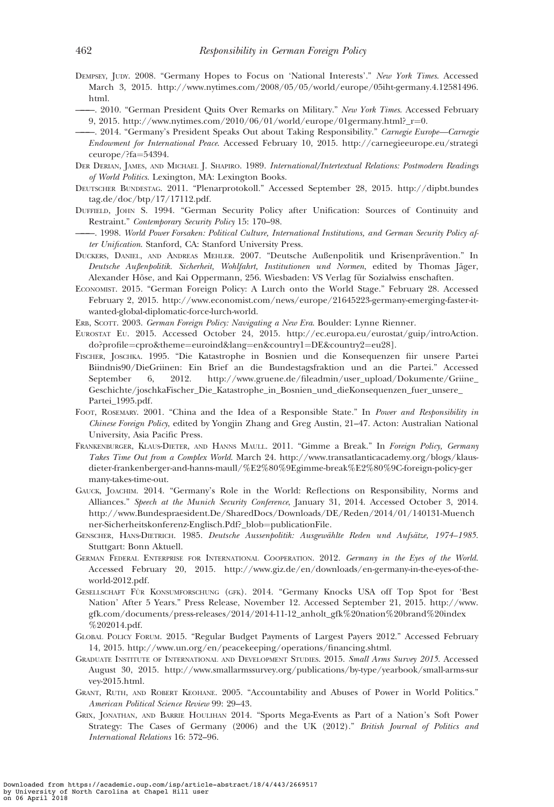- <span id="page-19-0"></span>DEMPSEY, JUDY. 2008. "Germany Hopes to Focus on 'National Interests'." New York Times. Accessed March 3, 2015. [http://www.nytimes.com/2008/05/05/world/europe/05iht-germany.4.12581496.](http://www.nytimes.com/2008/05/05/world/europe/05iht-germany.4.12581496.html) [html.](http://www.nytimes.com/2008/05/05/world/europe/05iht-germany.4.12581496.html)
	- -. 2010. "German President Quits Over Remarks on Military." New York Times. Accessed February 9, 2015. [http://www.nytimes.com/2010/06/01/world/europe/01germany.html?\\_r](http://www.nytimes.com/2010/06/01/world/europe/01germany.html?_;r=0)=[0](http://www.nytimes.com/2010/06/01/world/europe/01germany.html?_;r=0).
- -. 2014. "Germany's President Speaks Out about Taking Responsibility." Carnegie Europe-Carnegie Endowment for International Peace. Accessed February 10, 2015. [http://carnegieeurope.eu/strategi](http://carnegieeurope.eu/strategiceurope/?fa=54394)  $c$ europe $/$ ?fa=[54394](http://carnegieeurope.eu/strategiceurope/?fa=54394).
- DER DERIAN, JAMES, AND MICHAEL J. SHAPIRO. 1989. International/Intertextual Relations: Postmodern Readings of World Politics. Lexington, MA: Lexington Books.
- DEUTSCHER BUNDESTAG. 2011. "Plenarprotokoll." Accessed September 28, 2015. [http://dipbt.bundes](http://dipbt.bundestag.de/doc/btp/17/17112.pdf) [tag.de/doc/btp/17/17112.pdf.](http://dipbt.bundestag.de/doc/btp/17/17112.pdf)
- DUFFIELD, JOHN S. 1994. "German Security Policy after Unification: Sources of Continuity and Restraint." Contemporary Security Policy 15: 170–98.
- ———. 1998. World Power Forsaken: Political Culture, International Institutions, and German Security Policy after Unification. Stanford, CA: Stanford University Press.
- DUCKERS, DANIEL, AND ANDREAS MEHLER. 2007. "Deutsche Außenpolitik und Krisenprävention." In Deutsche Außenpolitik. Sicherheit, Wohlfahrt, Institutionen und Normen, edited by Thomas Jäger, Alexander Höse, and Kai Oppermann, 256. Wiesbaden: VS Verlag für Sozialwiss enschaften.
- ECONOMIST. 2015. "German Foreign Policy: A Lurch onto the World Stage." February 28. Accessed February 2, 2015. [http://www.economist.com/news/europe/21645223-germany-emerging-faster-it](http://www.economist.com/news/europe/21645223-germany-emerging-faster-it-wanted-global-diplomatic-force-lurch-world)[wanted-global-diplomatic-force-lurch-world.](http://www.economist.com/news/europe/21645223-germany-emerging-faster-it-wanted-global-diplomatic-force-lurch-world)
- ERB, SCOTT. 2003. German Foreign Policy: Navigating a New Era. Boulder: Lynne Rienner.
- EUROSTAT EU. 2015. Accessed October 24, 2015. [http://ec.europa.eu/eurostat/guip/introAction.](http://ec.europa.eu/eurostat/guip/introAction.do?profile=cpro&theme=euroind&lang=en&country1=DE&country2=eu28%5D) [do?profile](http://ec.europa.eu/eurostat/guip/introAction.do?profile=cpro&theme=euroind&lang=en&country1=DE&country2=eu28%5D)=[cpro&theme](http://ec.europa.eu/eurostat/guip/introAction.do?profile=cpro&theme=euroind&lang=en&country1=DE&country2=eu28%5D)=[euroind&lang](http://ec.europa.eu/eurostat/guip/introAction.do?profile=cpro&theme=euroind&lang=en&country1=DE&country2=eu28%5D)=[en&country1](http://ec.europa.eu/eurostat/guip/introAction.do?profile=cpro&theme=euroind&lang=en&country1=DE&country2=eu28%5D)=[DE&country2](http://ec.europa.eu/eurostat/guip/introAction.do?profile=cpro&theme=euroind&lang=en&country1=DE&country2=eu28%5D)=[eu28\]](http://ec.europa.eu/eurostat/guip/introAction.do?profile=cpro&theme=euroind&lang=en&country1=DE&country2=eu28%5D).
- FISCHER, JOSCHKA. 1995. "Die Katastrophe in Bosnien und die Konsequenzen fiir unsere Partei Biindnis90/DieGriinen: Ein Brief an die Bundestagsfraktion und an die Partei." Accessed September 6, 2012. [http://www.gruene.de/fileadmin/user\\_upload/Dokumente/Griine\\_](http://www.gruene.de/fileadmin/user_upload/Dokumente/Griine_Geschichte/joschkaFischer_Die_Katastrophe_in_Bosnien_und_die) [Geschichte/joschkaFischer\\_Die\\_Katastrophe\\_in\\_Bosnien\\_und\\_dieK](http://www.gruene.de/fileadmin/user_upload/Dokumente/Griine_Geschichte/joschkaFischer_Die_Katastrophe_in_Bosnien_und_die)onsequenzen\_fuer\_unsere\_ Partei\_1995.pdf.
- FOOT, ROSEMARY. 2001. "China and the Idea of a Responsible State." In Power and Responsibility in Chinese Foreign Policy, edited by Yongjin Zhang and Greg Austin, 21–47. Acton: Australian National University, Asia Pacific Press.
- FRANKENBURGER, KLAUS-DIETER, AND HANNS MAULL. 2011. "Gimme a Break." In Foreign Policy, Germany Takes Time Out from a Complex World. March 24. [http://www.transatlanticacademy.org/blogs/klaus](http://www.transatlanticacademy.org/blogs/klaus-dieter-frankenberger-and-hanns-maull/%E2%80%9Egimme-break%E2%80%9C-foreign-policy-germany-takes-time-out)[dieter-frankenberger-and-hanns-maull/%E2%80%9Egimme-break%E2%80%9C-foreign-policy-ger](http://www.transatlanticacademy.org/blogs/klaus-dieter-frankenberger-and-hanns-maull/%E2%80%9Egimme-break%E2%80%9C-foreign-policy-germany-takes-time-out) [many-takes-time-out.](http://www.transatlanticacademy.org/blogs/klaus-dieter-frankenberger-and-hanns-maull/%E2%80%9Egimme-break%E2%80%9C-foreign-policy-germany-takes-time-out)
- GAUCK, JOACHIM. 2014. "Germany's Role in the World: Reflections on Responsibility, Norms and Alliances." Speech at the Munich Security Conference, January 31, 2014. Accessed October 3, 2014. [http://www.Bundespraesident.De/SharedDocs/Downloads/DE/Reden/2014/01/140131-Muench](http://www.Bundespraesident.De/SharedDocs/Downloads/DE/Reden/2014/01/140131-Muenchner-Sicherheitskonferenz-Englisch.Pdf?_blob=publicationFile) [ner-Sicherheitskonferenz-Englisch.Pdf?\\_blob](http://www.Bundespraesident.De/SharedDocs/Downloads/DE/Reden/2014/01/140131-Muenchner-Sicherheitskonferenz-Englisch.Pdf?_blob=publicationFile)=[publicationFile](http://www.Bundespraesident.De/SharedDocs/Downloads/DE/Reden/2014/01/140131-Muenchner-Sicherheitskonferenz-Englisch.Pdf?_blob=publicationFile).
- GENSCHER, HANS-DIETRICH. 1985. Deutsche Aussenpolitik: Ausgewählte Reden und Aufsätze, 1974–1985. Stuttgart: Bonn Aktuell.
- GERMAN FEDERAL ENTERPRISE FOR INTERNATIONAL COOPERATION. 2012. Germany in the Eyes of the World. Accessed February 20, 2015. [http://www.giz.de/en/downloads/en-germany-in-the-eyes-of-the](http://www.giz.de/en/downloads/en-germany-in-the-eyes-of-the-world-2012.pdf)[world-2012.pdf](http://www.giz.de/en/downloads/en-germany-in-the-eyes-of-the-world-2012.pdf).
- GESELLSCHAFT FÜR KONSUMFORSCHUNG (GFK). 2014. "Germany Knocks USA off Top Spot for 'Best Nation' After 5 Years." Press Release, November 12. Accessed September 21, 2015. [http://www.](http://www.gfk.com/documents/press-releases/2014/2014-11-12_anholt_gfk%20nation%20brand%20index%202014.pdf) [gfk.com/documents/press-releases/2014/2014-11-12\\_anholt\\_gfk%20nation%20brand%20index](http://www.gfk.com/documents/press-releases/2014/2014-11-12_anholt_gfk%20nation%20brand%20index%202014.pdf) [%202014.pdf](http://www.gfk.com/documents/press-releases/2014/2014-11-12_anholt_gfk%20nation%20brand%20index%202014.pdf).
- GLOBAL POLICY FORUM. 2015. "Regular Budget Payments of Largest Payers 2012." Accessed February 14, 2015. [http://www.un.org/en/peacekeeping/operations/financing.shtml.](http://www.un.org/en/peacekeeping/operations/financing.shtml)
- GRADUATE INSTITUTE OF INTERNATIONAL AND DEVELOPMENT STUDIES. 2015. Small Arms Survey 2015. Accessed August 30, 2015. [http://www.smallarmssurvey.org/publications/by-type/yearbook/small-arms-sur](http://www.smallarmssurvey.org/publications/by-type/yearbook/small-arms-survey-2015.html) [vey-2015.html](http://www.smallarmssurvey.org/publications/by-type/yearbook/small-arms-survey-2015.html).
- GRANT, RUTH, AND ROBERT KEOHANE. 2005. "Accountability and Abuses of Power in World Politics." American Political Science Review 99: 29–43.
- GRIX, JONATHAN, AND BARRIE HOULIHAN 2014. "Sports Mega-Events as Part of a Nation's Soft Power Strategy: The Cases of Germany (2006) and the UK (2012)." British Journal of Politics and International Relations 16: 572–96.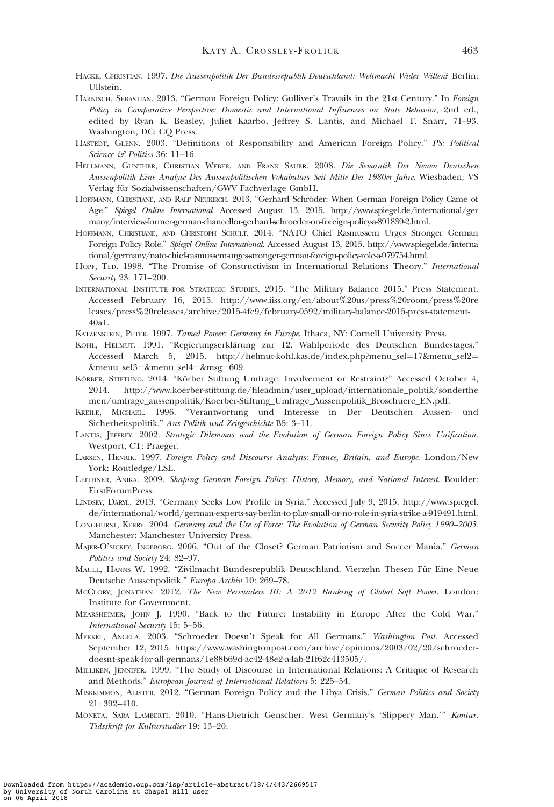- <span id="page-20-0"></span>HACKE, CHRISTIAN. 1997. Die Aussenpolitik Der Bundesrepublik Deutschland: Weltmacht Wider Willen? Berlin: Ullstein.
- HARNISCH, SEBASTIAN. 2013. "German Foreign Policy: Gulliver's Travails in the 21st Century." In Foreign Policy in Comparative Perspective: Domestic and International Influences on State Behavior, 2nd ed., edited by Ryan K. Beasley, Juliet Kaarbo, Jeffrey S. Lantis, and Michael T. Snarr, 71–93. Washington, DC: CQ Press.
- HASTEDT, GLENN. 2003. "Definitions of Responsibility and American Foreign Policy." PS: Political Science & Politics 36: 11-16.
- HELLMANN, GUNTHER, CHRISTIAN WEBER, AND FRANK SAUER. 2008. Die Semantik Der Neuen Deutschen Aussenpolitik Eine Analyse Des Aussenpolitischen Vokabulars Seit Mitte Der 1980er Jahre. Wiesbaden: VS Verlag für Sozialwissenschaften/GWV Fachverlage GmbH.
- HOFFMANN, CHRISTIANE, AND RALF NEUKIRCH. 2013. "Gerhard Schröder: When German Foreign Policy Came of Age." Spiegel Online International. Accessed August 13, 2015. [http://www.spiegel.de/international/ger](http://www.spiegel.de/international/germany/interview-former-german-chancellor-gerhard-schroeder-on-foreign-policy-a-891839-2.html) [many/interview-former-german-chancellor-gerhard-schroeder-on-foreign-policy-a-891839-2.html](http://www.spiegel.de/international/germany/interview-former-german-chancellor-gerhard-schroeder-on-foreign-policy-a-891839-2.html).
- HOFFMANN, CHRISTIANE, AND CHRISTOPH SCHULT. 2014. "NATO Chief Rasmussem Urges Stronger German Foreign Policy Role." Spiegel Online International. Accessed August 13, 2015. [http://www.spiegel.de/interna](http://www.spiegel.de/international/germany/nato-chief-rasmussem-urges-stronger-german-foreign-policy-role-a-979754.html) [tional/germany/nato-chief-rasmussem-urges-stronger-german-foreign-policy-role-a-979754.html](http://www.spiegel.de/international/germany/nato-chief-rasmussem-urges-stronger-german-foreign-policy-role-a-979754.html).
- HOPF, TED. 1998. "The Promise of Constructivism in International Relations Theory." International Security 23: 171–200.
- INTERNATIONAL INSTITUTE FOR STRATEGIC STUDIES. 2015. "The Military Balance 2015." Press Statement. Accessed February 16, 2015. [http://www.iiss.org/en/about%20us/press%20room/press%20re](http://www.iiss.org/en/about%20us/press%20room/press%20releases/press%20releases/archive/2015-4fe9/february-0592/military-balance-2015-press-statement-40a1) [leases/press%20releases/archive/2015-4fe9/february-0592/military-balance-2015-press-statement-](http://www.iiss.org/en/about%20us/press%20room/press%20releases/press%20releases/archive/2015-4fe9/february-0592/military-balance-2015-press-statement-40a1)[40a1.](http://www.iiss.org/en/about%20us/press%20room/press%20releases/press%20releases/archive/2015-4fe9/february-0592/military-balance-2015-press-statement-40a1)
- KATZENSTEIN, PETER. 1997. Tamed Power: Germany in Europe. Ithaca, NY: Cornell University Press.
- KOHL, HELMUT. 1991. "Regierungserklärung zur 12. Wahlperiode des Deutschen Bundestages." Accessed March 5, 2015. [http://helmut-kohl.kas.de/index.php?menu\\_sel](http://helmut-kohl.kas.de/index.php?menu_sel=17&menu_sel2=&menu_sel3=&menu_sel4=&msg=609)=[17&menu\\_sel2](http://helmut-kohl.kas.de/index.php?menu_sel=17&menu_sel2=&menu_sel3=&menu_sel4=&msg=609)= [&menu\\_sel3](http://helmut-kohl.kas.de/index.php?menu_sel=17&menu_sel2=&menu_sel3=&menu_sel4=&msg=609)=[&menu\\_sel4](http://helmut-kohl.kas.de/index.php?menu_sel=17&menu_sel2=&menu_sel3=&menu_sel4=&msg=609)=[&msg](http://helmut-kohl.kas.de/index.php?menu_sel=17&menu_sel2=&menu_sel3=&menu_sel4=&msg=609)=[609](http://helmut-kohl.kas.de/index.php?menu_sel=17&menu_sel2=&menu_sel3=&menu_sel4=&msg=609).
- KÖRBER, STIFTUNG. 2014. "Körber Stiftung Umfrage: Involvement or Restraint?" Accessed October 4, 2014. [http://www.koerber-stiftung.de/fileadmin/user\\_upload/internationale\\_politik/sonderthe](http://www.koerber-stiftung.de/fileadmin/user_upload/internationale_politik/sonderthemen/umfrage_aussenpolitik/Koerber-Stiftung_Umfrage_Aussenpolitik_Broschuere_EN.pdf) [men/umfrage\\_aussenpolitik/Koerber-Stiftung\\_Umfrage\\_Aussenpolitik\\_Broschuere\\_EN.pdf](http://www.koerber-stiftung.de/fileadmin/user_upload/internationale_politik/sonderthemen/umfrage_aussenpolitik/Koerber-Stiftung_Umfrage_Aussenpolitik_Broschuere_EN.pdf).
- KREILE, MICHAEL. 1996. "Verantwortung und Interesse in Der Deutschen Aussen- und Sicherheitspolitik." Aus Politik und Zeitgeschichte B5: 3–11.
- LANTIS, JEFFREY. 2002. Strategic Dilemmas and the Evolution of German Foreign Policy Since Unification. Westport, CT: Praeger.
- LARSEN, HENRIK. 1997. Foreign Policy and Discourse Analysis: France, Britain, and Europe. London/New York: Routledge/LSE.
- LEITHNER, ANIKA. 2009. Shaping German Foreign Policy: History, Memory, and National Interest. Boulder: FirstForumPress.
- LINDSEY, DARYL. 2013. "Germany Seeks Low Profile in Syria." Accessed July 9, 2015. [http://www.spiegel.](http://www.spiegel.de/international/world/german-experts-say-berlin-to-play-small-or-no-role-in-syria-strike-a-919491.html) [de/international/world/german-experts-say-berlin-to-play-small-or-no-role-in-syria-strike-a-919491.html](http://www.spiegel.de/international/world/german-experts-say-berlin-to-play-small-or-no-role-in-syria-strike-a-919491.html).
- LONGHURST, KERRY. 2004. Germany and the Use of Force: The Evolution of German Security Policy 1990–2003. Manchester: Manchester University Press.
- MAJER-O'SICKEY, INGEBORG. 2006. "Out of the Closet? German Patriotism and Soccer Mania." German Politics and Society 24: 82–97.
- MAULL, HANNS W. 1992. "Zivilmacht Bundesrepublik Deutschland. Vierzehn Thesen Für Eine Neue Deutsche Aussenpolitik." Europa Archiv 10: 269–78.
- McCLORY, JONATHAN. 2012. The New Persuaders III: A 2012 Ranking of Global Soft Power. London: Institute for Government.
- MEARSHEIMER, JOHN J. 1990. "Back to the Future: Instability in Europe After the Cold War." International Security 15: 5–56.
- MERKEL, ANGELA. 2003. "Schroeder Doesn't Speak for All Germans." Washington Post. Accessed September 12, 2015. [https://www.washingtonpost.com/archive/opinions/2003/02/20/schroeder](https://www.washingtonpost.com/archive/opinions/2003/02/20/schroeder-doesnt-speak-for-all-germans/1e88b69d-ac42-48e2-a4ab-21f62c413505/)[doesnt-speak-for-all-germans/1e88b69d-ac42-48e2-a4ab-21f62c413505/](https://www.washingtonpost.com/archive/opinions/2003/02/20/schroeder-doesnt-speak-for-all-germans/1e88b69d-ac42-48e2-a4ab-21f62c413505/).
- MILLIKEN, JENNIFER. 1999. "The Study of Discourse in International Relations: A Critique of Research and Methods." European Journal of International Relations 5: 225–54.
- MISKKIMMON, ALISTER. 2012. "German Foreign Policy and the Libya Crisis." German Politics and Society 21: 392–410.
- MONETA, SARA LAMBERTI. 2010. "Hans-Dietrich Genscher: West Germany's 'Slippery Man.'" Kontur: Tidsskrift for Kulturstudier 19: 13–20.